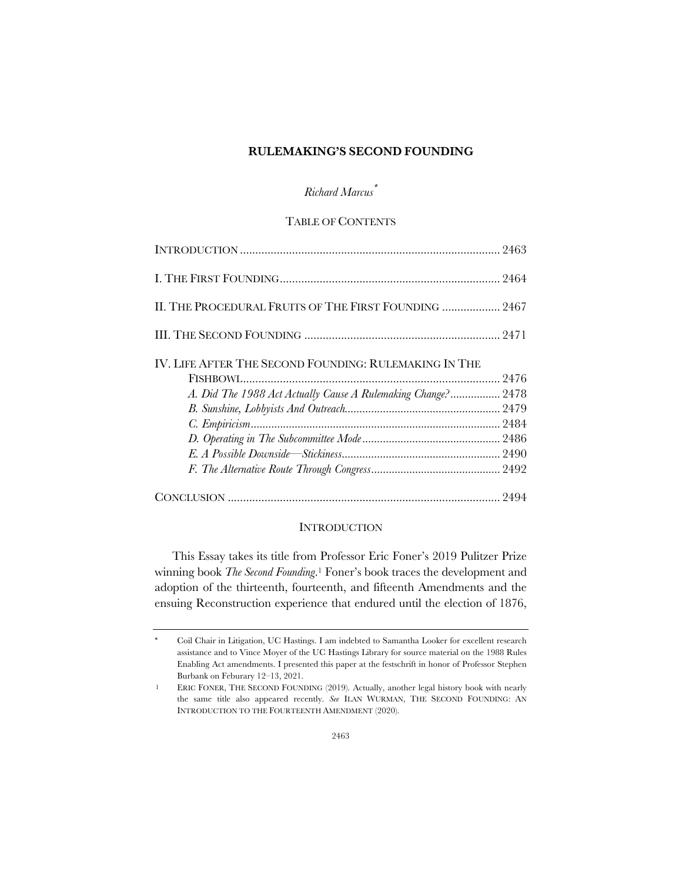### **RULEMAKING'S SECOND FOUNDING**

# *Richard Marcus*\*

## TABLE OF CONTENTS

| II. THE PROCEDURAL FRUITS OF THE FIRST FOUNDING  2467        |  |
|--------------------------------------------------------------|--|
|                                                              |  |
| IV. LIFE AFTER THE SECOND FOUNDING: RULEMAKING IN THE        |  |
|                                                              |  |
| A. Did The 1988 Act Actually Cause A Rulemaking Change? 2478 |  |
|                                                              |  |
|                                                              |  |
|                                                              |  |
|                                                              |  |
|                                                              |  |
|                                                              |  |

## **INTRODUCTION**

This Essay takes its title from Professor Eric Foner's 2019 Pulitzer Prize winning book *The Second Founding*.1 Foner's book traces the development and adoption of the thirteenth, fourteenth, and fifteenth Amendments and the ensuing Reconstruction experience that endured until the election of 1876,

<sup>\*</sup> Coil Chair in Litigation, UC Hastings. I am indebted to Samantha Looker for excellent research assistance and to Vince Moyer of the UC Hastings Library for source material on the 1988 Rules Enabling Act amendments. I presented this paper at the festschrift in honor of Professor Stephen Burbank on Feburary 12–13, 2021.

<sup>1</sup> ERIC FONER, THE SECOND FOUNDING (2019). Actually, another legal history book with nearly the same title also appeared recently. *See* ILAN WURMAN, THE SECOND FOUNDING: AN INTRODUCTION TO THE FOURTEENTH AMENDMENT (2020).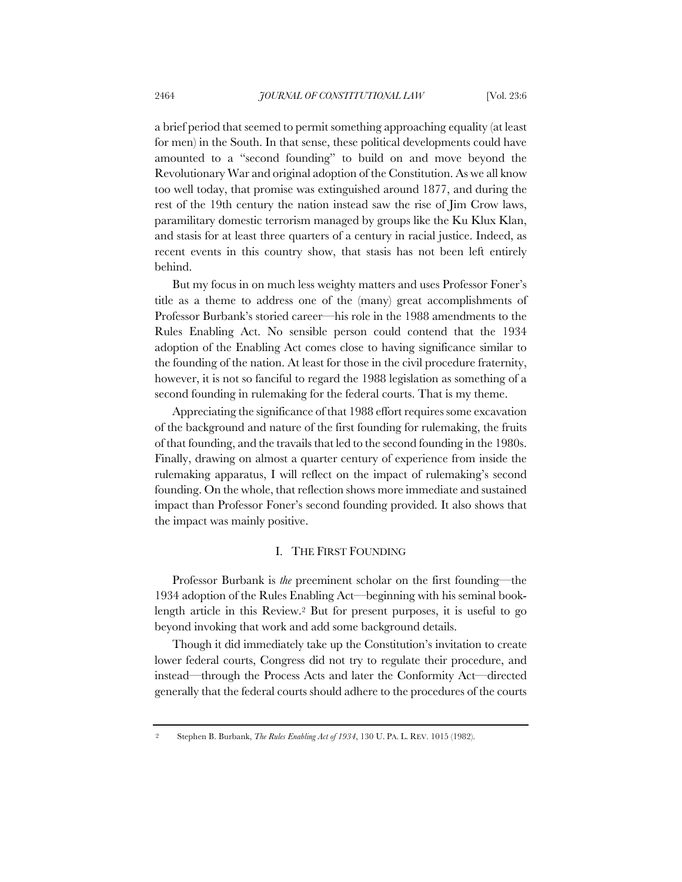a brief period that seemed to permit something approaching equality (at least for men) in the South. In that sense, these political developments could have amounted to a "second founding" to build on and move beyond the Revolutionary War and original adoption of the Constitution. As we all know too well today, that promise was extinguished around 1877, and during the rest of the 19th century the nation instead saw the rise of Jim Crow laws, paramilitary domestic terrorism managed by groups like the Ku Klux Klan, and stasis for at least three quarters of a century in racial justice. Indeed, as recent events in this country show, that stasis has not been left entirely behind.

But my focus in on much less weighty matters and uses Professor Foner's title as a theme to address one of the (many) great accomplishments of Professor Burbank's storied career—his role in the 1988 amendments to the Rules Enabling Act. No sensible person could contend that the 1934 adoption of the Enabling Act comes close to having significance similar to the founding of the nation. At least for those in the civil procedure fraternity, however, it is not so fanciful to regard the 1988 legislation as something of a second founding in rulemaking for the federal courts. That is my theme.

Appreciating the significance of that 1988 effort requires some excavation of the background and nature of the first founding for rulemaking, the fruits of that founding, and the travails that led to the second founding in the 1980s. Finally, drawing on almost a quarter century of experience from inside the rulemaking apparatus, I will reflect on the impact of rulemaking's second founding. On the whole, that reflection shows more immediate and sustained impact than Professor Foner's second founding provided. It also shows that the impact was mainly positive.

### I. THE FIRST FOUNDING

Professor Burbank is *the* preeminent scholar on the first founding—the 1934 adoption of the Rules Enabling Act—beginning with his seminal booklength article in this Review.2 But for present purposes, it is useful to go beyond invoking that work and add some background details.

Though it did immediately take up the Constitution's invitation to create lower federal courts, Congress did not try to regulate their procedure, and instead—through the Process Acts and later the Conformity Act—directed generally that the federal courts should adhere to the procedures of the courts

<sup>2</sup> Stephen B. Burbank, *The Rules Enabling Act of 1934*, 130 U. PA. L. REV. 1015 (1982).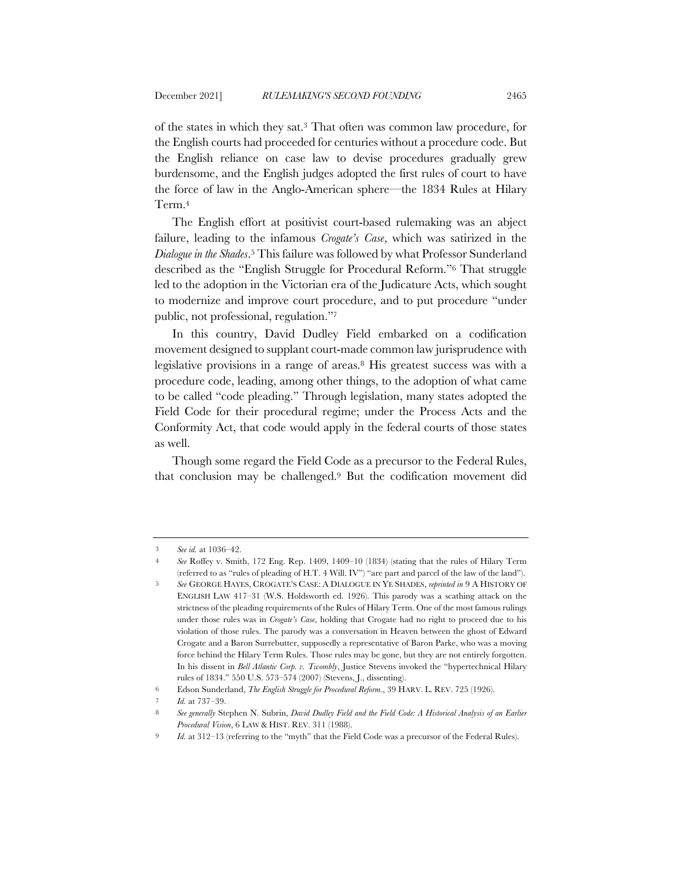of the states in which they sat.3 That often was common law procedure, for the English courts had proceeded for centuries without a procedure code. But the English reliance on case law to devise procedures gradually grew burdensome, and the English judges adopted the first rules of court to have the force of law in the Anglo-American sphere—the 1834 Rules at Hilary Term.4

The English effort at positivist court-based rulemaking was an abject failure, leading to the infamous *Crogate's Case*, which was satirized in the *Dialogue in the Shades*.5 This failure was followed by what Professor Sunderland described as the "English Struggle for Procedural Reform."6 That struggle led to the adoption in the Victorian era of the Judicature Acts, which sought to modernize and improve court procedure, and to put procedure "under public, not professional, regulation."7

In this country, David Dudley Field embarked on a codification movement designed to supplant court-made common law jurisprudence with legislative provisions in a range of areas.8 His greatest success was with a procedure code, leading, among other things, to the adoption of what came to be called "code pleading." Through legislation, many states adopted the Field Code for their procedural regime; under the Process Acts and the Conformity Act, that code would apply in the federal courts of those states as well.

Though some regard the Field Code as a precursor to the Federal Rules, that conclusion may be challenged.9 But the codification movement did

<sup>3</sup> *See id.* at 1036–42.

<sup>4</sup> *See* Roffey v. Smith, 172 Eng. Rep. 1409, 1409–10 (1834) (stating that the rules of Hilary Term (referred to as "rules of pleading of H.T. 4 Will. IV") "are part and parcel of the law of the land").

<sup>5</sup> *See* GEORGE HAYES, CROGATE'S CASE: A DIALOGUE IN YE SHADES, *reprinted in* 9 A HISTORY OF ENGLISH LAW 417–31 (W.S. Holdsworth ed. 1926). This parody was a scathing attack on the strictness of the pleading requirements of the Rules of Hilary Term. One of the most famous rulings under those rules was in *Crogate's Case*, holding that Crogate had no right to proceed due to his violation of those rules. The parody was a conversation in Heaven between the ghost of Edward Crogate and a Baron Surrebutter, supposedly a representative of Baron Parke, who was a moving force behind the Hilary Term Rules. Those rules may be gone, but they are not entirely forgotten. In his dissent in *Bell Atlantic Corp. v. Twombly*, Justice Stevens invoked the "hypertechnical Hilary rules of 1834." 550 U.S. 573–574 (2007) (Stevens, J., dissenting).

<sup>6</sup> Edson Sunderland, *The English Struggle for Procedural Reform.*, 39 HARV. L. REV. 725 (1926).

<sup>7</sup> *Id.* at 737–39.

<sup>8</sup> *See generally* Stephen N. Subrin, *David Dudley Field and the Field Code: A Historical Analysis of an Earlier Procedural Vision*, 6 LAW & HIST. REV. 311 (1988).

<sup>9</sup> *Id.* at 312–13 (referring to the "myth" that the Field Code was a precursor of the Federal Rules).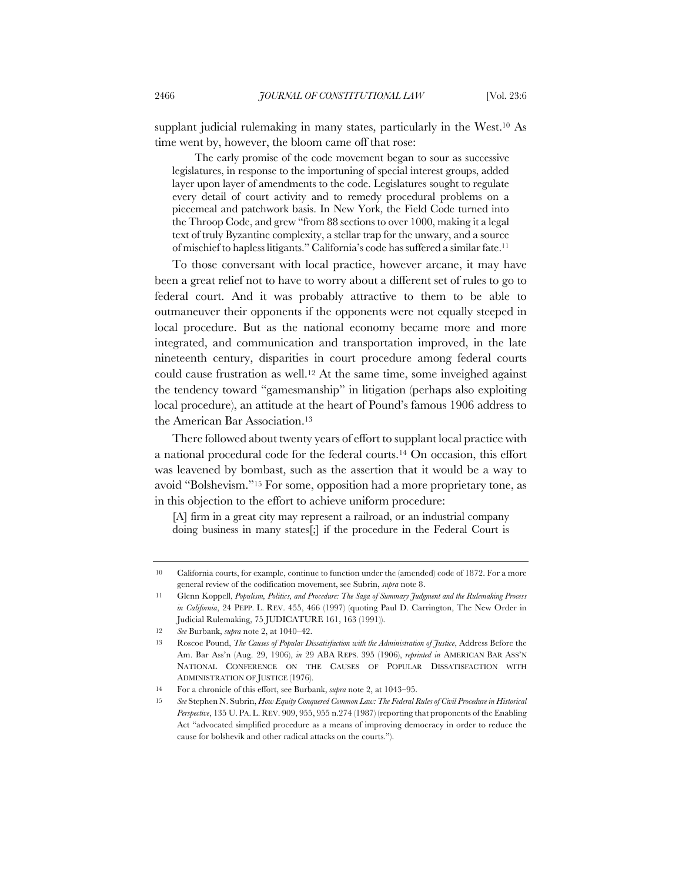supplant judicial rulemaking in many states, particularly in the West.<sup>10</sup> As time went by, however, the bloom came off that rose:

The early promise of the code movement began to sour as successive legislatures, in response to the importuning of special interest groups, added layer upon layer of amendments to the code. Legislatures sought to regulate every detail of court activity and to remedy procedural problems on a piecemeal and patchwork basis. In New York, the Field Code turned into the Throop Code, and grew "from 88 sections to over 1000, making it a legal text of truly Byzantine complexity, a stellar trap for the unwary, and a source of mischief to hapless litigants." California's code has suffered a similar fate.11

To those conversant with local practice, however arcane, it may have been a great relief not to have to worry about a different set of rules to go to federal court. And it was probably attractive to them to be able to outmaneuver their opponents if the opponents were not equally steeped in local procedure. But as the national economy became more and more integrated, and communication and transportation improved, in the late nineteenth century, disparities in court procedure among federal courts could cause frustration as well.12 At the same time, some inveighed against the tendency toward "gamesmanship" in litigation (perhaps also exploiting local procedure), an attitude at the heart of Pound's famous 1906 address to the American Bar Association.13

There followed about twenty years of effort to supplant local practice with a national procedural code for the federal courts.14 On occasion, this effort was leavened by bombast, such as the assertion that it would be a way to avoid "Bolshevism."15 For some, opposition had a more proprietary tone, as in this objection to the effort to achieve uniform procedure:

[A] firm in a great city may represent a railroad, or an industrial company doing business in many states[;] if the procedure in the Federal Court is

<sup>10</sup> California courts, for example, continue to function under the (amended) code of 1872. For a more general review of the codification movement, see Subrin, *supra* note 8.

<sup>11</sup> Glenn Koppell, *Populism, Politics, and Procedure: The Saga of Summary Judgment and the Rulemaking Process in California*, 24 PEPP. L. REV. 455, 466 (1997) (quoting Paul D. Carrington, The New Order in Judicial Rulemaking, 75 JUDICATURE 161, 163 (1991)).

<sup>12</sup> *See* Burbank, *supra* note 2, at 1040–42.

<sup>13</sup> Roscoe Pound, *The Causes of Popular Dissatisfaction with the Administration of Justice*, Address Before the Am. Bar Ass'n (Aug. 29, 1906), *in* 29 ABA REPS. 395 (1906), *reprinted in* AMERICAN BAR ASS'N NATIONAL CONFERENCE ON THE CAUSES OF POPULAR DISSATISFACTION WITH ADMINISTRATION OF JUSTICE (1976).

<sup>14</sup> For a chronicle of this effort, see Burbank, *supra* note 2, at 1043–95.

<sup>15</sup> *See* Stephen N. Subrin, *How Equity Conquered Common Law: The Federal Rules of Civil Procedure in Historical Perspective*, 135 U. PA. L. REV. 909, 955, 955 n.274 (1987) (reporting that proponents of the Enabling Act "advocated simplified procedure as a means of improving democracy in order to reduce the cause for bolshevik and other radical attacks on the courts.").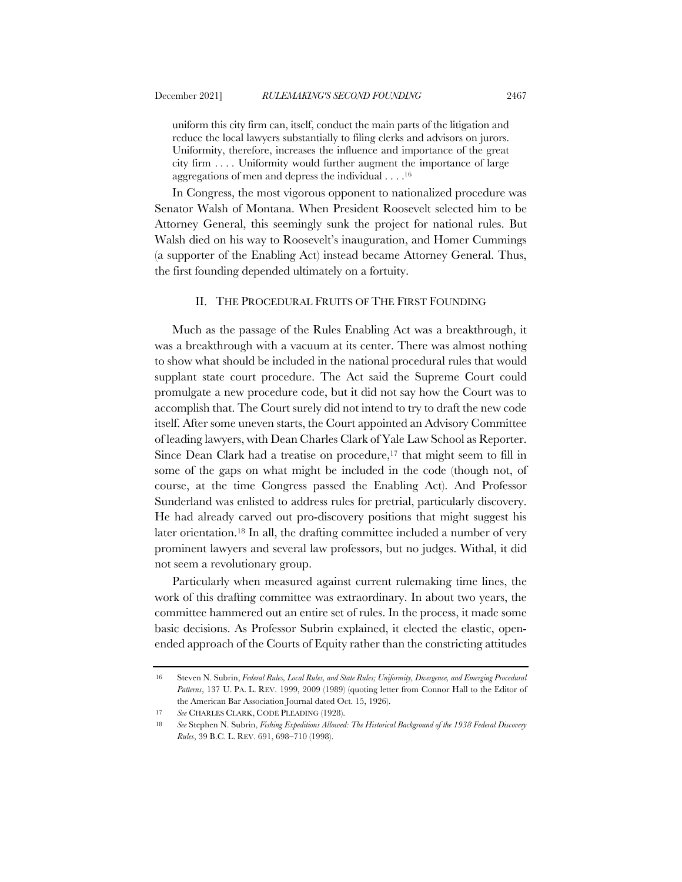uniform this city firm can, itself, conduct the main parts of the litigation and reduce the local lawyers substantially to filing clerks and advisors on jurors. Uniformity, therefore, increases the influence and importance of the great city firm . . . . Uniformity would further augment the importance of large aggregations of men and depress the individual . . . .16

In Congress, the most vigorous opponent to nationalized procedure was Senator Walsh of Montana. When President Roosevelt selected him to be Attorney General, this seemingly sunk the project for national rules. But Walsh died on his way to Roosevelt's inauguration, and Homer Cummings (a supporter of the Enabling Act) instead became Attorney General. Thus, the first founding depended ultimately on a fortuity.

### II. THE PROCEDURAL FRUITS OF THE FIRST FOUNDING

Much as the passage of the Rules Enabling Act was a breakthrough, it was a breakthrough with a vacuum at its center. There was almost nothing to show what should be included in the national procedural rules that would supplant state court procedure. The Act said the Supreme Court could promulgate a new procedure code, but it did not say how the Court was to accomplish that. The Court surely did not intend to try to draft the new code itself. After some uneven starts, the Court appointed an Advisory Committee of leading lawyers, with Dean Charles Clark of Yale Law School as Reporter. Since Dean Clark had a treatise on procedure,<sup>17</sup> that might seem to fill in some of the gaps on what might be included in the code (though not, of course, at the time Congress passed the Enabling Act). And Professor Sunderland was enlisted to address rules for pretrial, particularly discovery. He had already carved out pro-discovery positions that might suggest his later orientation.18 In all, the drafting committee included a number of very prominent lawyers and several law professors, but no judges. Withal, it did not seem a revolutionary group.

Particularly when measured against current rulemaking time lines, the work of this drafting committee was extraordinary. In about two years, the committee hammered out an entire set of rules. In the process, it made some basic decisions. As Professor Subrin explained, it elected the elastic, openended approach of the Courts of Equity rather than the constricting attitudes

<sup>16</sup> Steven N. Subrin, *Federal Rules, Local Rules, and State Rules; Uniformity, Divergence, and Emerging Procedural Patterns*, 137 U. PA. L. REV. 1999, 2009 (1989) (quoting letter from Connor Hall to the Editor of the American Bar Association Journal dated Oct. 15, 1926).

<sup>17</sup> *See* CHARLES CLARK, CODE PLEADING (1928).

<sup>18</sup> *See* Stephen N. Subrin, *Fishing Expeditions Allowed: The Historical Background of the 1938 Federal Discovery Rules*, 39 B.C. L. REV. 691, 698–710 (1998).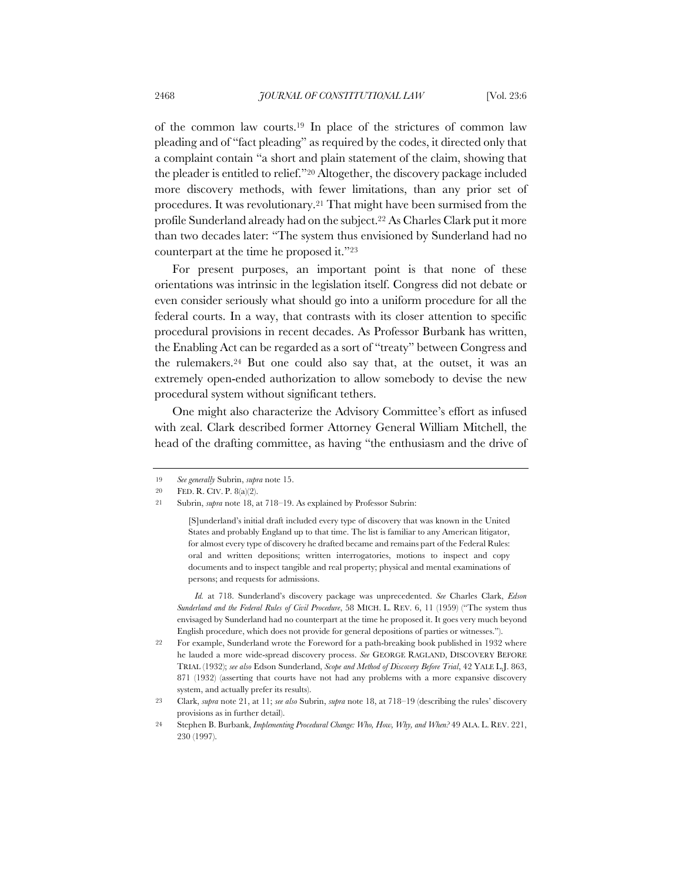of the common law courts.19 In place of the strictures of common law pleading and of "fact pleading" as required by the codes, it directed only that a complaint contain "a short and plain statement of the claim, showing that the pleader is entitled to relief."20 Altogether, the discovery package included more discovery methods, with fewer limitations, than any prior set of procedures. It was revolutionary.21 That might have been surmised from the profile Sunderland already had on the subject.22 As Charles Clark put it more than two decades later: "The system thus envisioned by Sunderland had no counterpart at the time he proposed it."23

For present purposes, an important point is that none of these orientations was intrinsic in the legislation itself. Congress did not debate or even consider seriously what should go into a uniform procedure for all the federal courts. In a way, that contrasts with its closer attention to specific procedural provisions in recent decades. As Professor Burbank has written, the Enabling Act can be regarded as a sort of "treaty" between Congress and the rulemakers.24 But one could also say that, at the outset, it was an extremely open-ended authorization to allow somebody to devise the new procedural system without significant tethers.

One might also characterize the Advisory Committee's effort as infused with zeal. Clark described former Attorney General William Mitchell, the head of the drafting committee, as having "the enthusiasm and the drive of

<sup>19</sup> *See generally* Subrin, *supra* note 15.

<sup>20</sup> FED. R. CIV. P. 8(a)(2).

<sup>21</sup> Subrin, *supra* note 18, at 718–19. As explained by Professor Subrin:

<sup>[</sup>S]underland's initial draft included every type of discovery that was known in the United States and probably England up to that time. The list is familiar to any American litigator, for almost every type of discovery he drafted became and remains part of the Federal Rules: oral and written depositions; written interrogatories, motions to inspect and copy documents and to inspect tangible and real property; physical and mental examinations of persons; and requests for admissions.

*Id.* at 718. Sunderland's discovery package was unprecedented. *See* Charles Clark, *Edson Sunderland and the Federal Rules of Civil Procedure*, 58 MICH. L. REV. 6, 11 (1959) ("The system thus envisaged by Sunderland had no counterpart at the time he proposed it. It goes very much beyond English procedure, which does not provide for general depositions of parties or witnesses.").

<sup>22</sup> For example, Sunderland wrote the Foreword for a path-breaking book published in 1932 where he lauded a more wide-spread discovery process. *See* GEORGE RAGLAND, DISCOVERY BEFORE TRIAL (1932); *see also* Edson Sunderland, *Scope and Method of Discovery Before Trial*, 42 YALE L.J. 863, 871 (1932) (asserting that courts have not had any problems with a more expansive discovery system, and actually prefer its results).

<sup>23</sup> Clark, *supra* note 21, at 11; *see also* Subrin, *supra* note 18, at 718–19 (describing the rules' discovery provisions as in further detail).

<sup>24</sup> Stephen B. Burbank, *Implementing Procedural Change: Who, How, Why, and When?* 49 ALA. L. REV. 221, 230 (1997).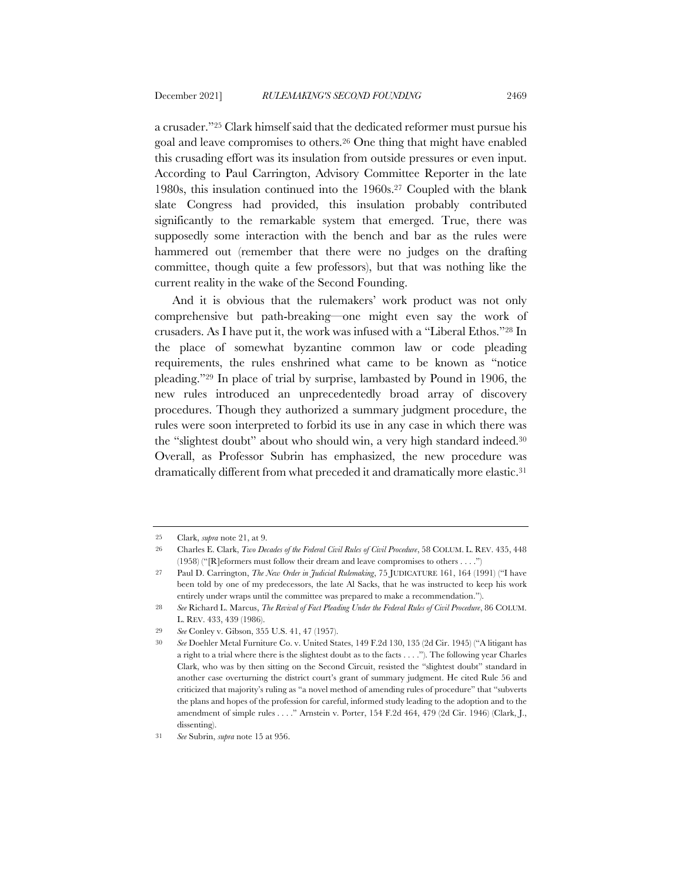a crusader."25 Clark himself said that the dedicated reformer must pursue his goal and leave compromises to others.26 One thing that might have enabled this crusading effort was its insulation from outside pressures or even input. According to Paul Carrington, Advisory Committee Reporter in the late 1980s, this insulation continued into the 1960s.27 Coupled with the blank slate Congress had provided, this insulation probably contributed significantly to the remarkable system that emerged. True, there was supposedly some interaction with the bench and bar as the rules were hammered out (remember that there were no judges on the drafting committee, though quite a few professors), but that was nothing like the current reality in the wake of the Second Founding.

And it is obvious that the rulemakers' work product was not only comprehensive but path-breaking—one might even say the work of crusaders. As I have put it, the work was infused with a "Liberal Ethos."28 In the place of somewhat byzantine common law or code pleading requirements, the rules enshrined what came to be known as "notice pleading."29 In place of trial by surprise, lambasted by Pound in 1906, the new rules introduced an unprecedentedly broad array of discovery procedures. Though they authorized a summary judgment procedure, the rules were soon interpreted to forbid its use in any case in which there was the "slightest doubt" about who should win, a very high standard indeed.30 Overall, as Professor Subrin has emphasized, the new procedure was dramatically different from what preceded it and dramatically more elastic.31

<sup>25</sup> Clark, *supra* note 21, at 9.

<sup>26</sup> Charles E. Clark, *Two Decades of the Federal Civil Rules of Civil Procedure*, 58 COLUM. L. REV. 435, 448 (1958) ("[R]eformers must follow their dream and leave compromises to others . . . .")

<sup>27</sup> Paul D. Carrington, *The New Order in Judicial Rulemaking*, 75 JUDICATURE 161, 164 (1991) ("I have been told by one of my predecessors, the late Al Sacks, that he was instructed to keep his work entirely under wraps until the committee was prepared to make a recommendation.").

<sup>28</sup> *See* Richard L. Marcus, *The Revival of Fact Pleading Under the Federal Rules of Civil Procedure*, 86 COLUM. L. REV. 433, 439 (1986).

<sup>29</sup> *See* Conley v. Gibson, 355 U.S. 41, 47 (1957).

<sup>30</sup> *See* Doehler Metal Furniture Co. v. United States, 149 F.2d 130, 135 (2d Cir. 1945) ("A litigant has a right to a trial where there is the slightest doubt as to the facts . . . ."). The following year Charles Clark, who was by then sitting on the Second Circuit, resisted the "slightest doubt" standard in another case overturning the district court's grant of summary judgment. He cited Rule 56 and criticized that majority's ruling as "a novel method of amending rules of procedure" that "subverts the plans and hopes of the profession for careful, informed study leading to the adoption and to the amendment of simple rules . . . ." Arnstein v. Porter, 154 F.2d 464, 479 (2d Cir. 1946) (Clark, J., dissenting).

<sup>31</sup> *See* Subrin, *supra* note 15 at 956.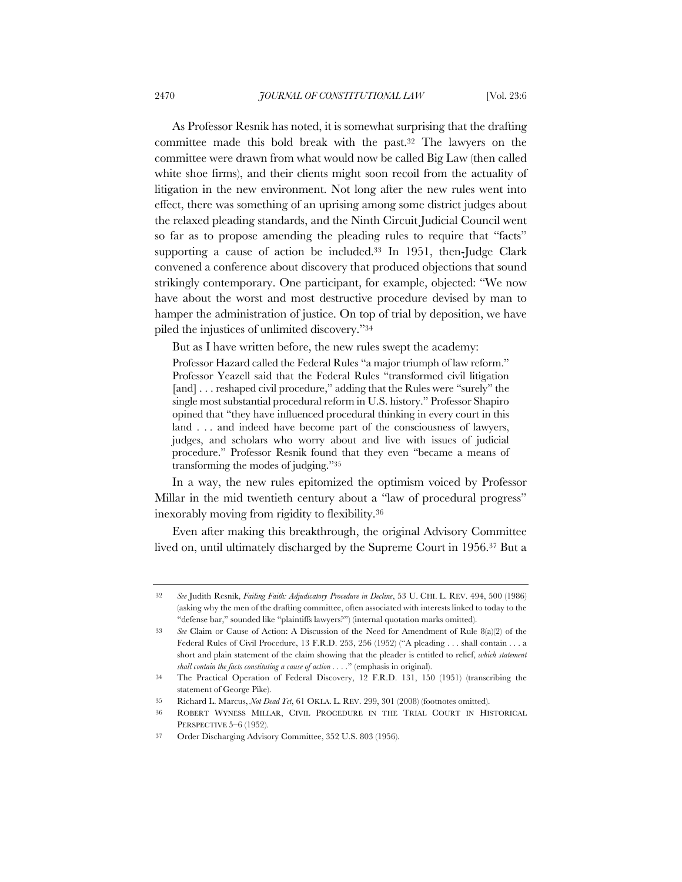As Professor Resnik has noted, it is somewhat surprising that the drafting committee made this bold break with the past.32 The lawyers on the committee were drawn from what would now be called Big Law (then called white shoe firms), and their clients might soon recoil from the actuality of litigation in the new environment. Not long after the new rules went into effect, there was something of an uprising among some district judges about the relaxed pleading standards, and the Ninth Circuit Judicial Council went so far as to propose amending the pleading rules to require that "facts" supporting a cause of action be included.33 In 1951, then-Judge Clark convened a conference about discovery that produced objections that sound strikingly contemporary. One participant, for example, objected: "We now have about the worst and most destructive procedure devised by man to hamper the administration of justice. On top of trial by deposition, we have piled the injustices of unlimited discovery."34

But as I have written before, the new rules swept the academy:

Professor Hazard called the Federal Rules "a major triumph of law reform." Professor Yeazell said that the Federal Rules "transformed civil litigation [and] . . . reshaped civil procedure," adding that the Rules were "surely" the single most substantial procedural reform in U.S. history." Professor Shapiro opined that "they have influenced procedural thinking in every court in this land . . . and indeed have become part of the consciousness of lawyers, judges, and scholars who worry about and live with issues of judicial procedure." Professor Resnik found that they even "became a means of transforming the modes of judging."35

In a way, the new rules epitomized the optimism voiced by Professor Millar in the mid twentieth century about a "law of procedural progress" inexorably moving from rigidity to flexibility.36

Even after making this breakthrough, the original Advisory Committee lived on, until ultimately discharged by the Supreme Court in 1956.37 But a

<sup>32</sup> *See* Judith Resnik, *Failing Faith: Adjudicatory Procedure in Decline*, 53 U. CHI. L. REV. 494, 500 (1986) (asking why the men of the drafting committee, often associated with interests linked to today to the "defense bar," sounded like "plaintiffs lawyers?") (internal quotation marks omitted).

<sup>33</sup> *See* Claim or Cause of Action: A Discussion of the Need for Amendment of Rule 8(a)(2) of the Federal Rules of Civil Procedure, 13 F.R.D. 253, 256 (1952) ("A pleading . . . shall contain . . . a short and plain statement of the claim showing that the pleader is entitled to relief, *which statement shall contain the facts constituting a cause of action . . . .*" (emphasis in original).

<sup>34</sup> The Practical Operation of Federal Discovery, 12 F.R.D. 131, 150 (1951) (transcribing the statement of George Pike).

<sup>35</sup> Richard L. Marcus, *Not Dead Yet*, 61 OKLA. L. REV. 299, 301 (2008) (footnotes omitted).

<sup>36</sup> ROBERT WYNESS MILLAR, CIVIL PROCEDURE IN THE TRIAL COURT IN HISTORICAL PERSPECTIVE 5–6 (1952).

<sup>37</sup> Order Discharging Advisory Committee, 352 U.S. 803 (1956).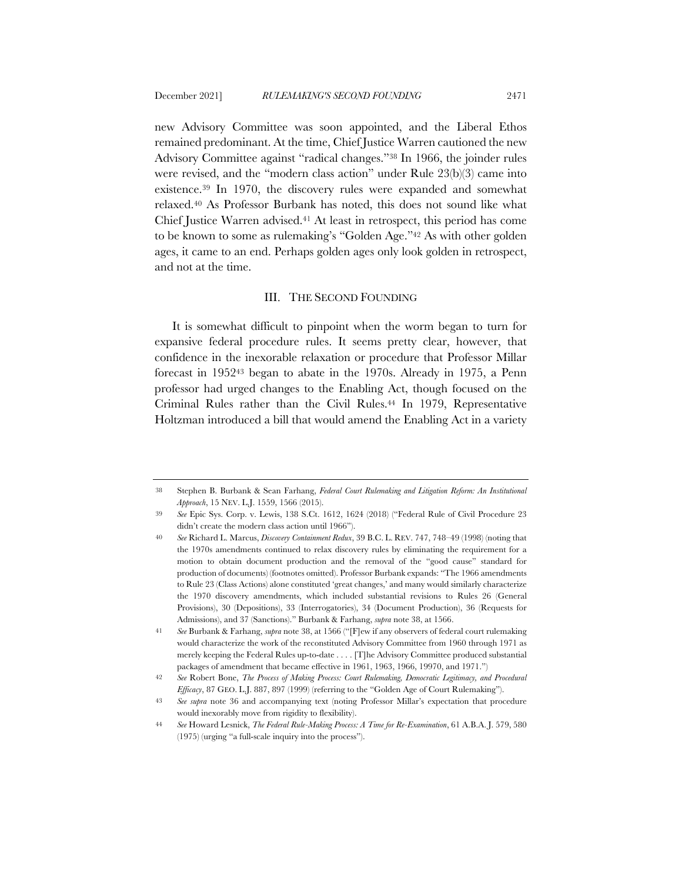new Advisory Committee was soon appointed, and the Liberal Ethos remained predominant. At the time, Chief Justice Warren cautioned the new Advisory Committee against "radical changes."38 In 1966, the joinder rules were revised, and the "modern class action" under Rule 23(b)(3) came into existence.39 In 1970, the discovery rules were expanded and somewhat relaxed.40 As Professor Burbank has noted, this does not sound like what Chief Justice Warren advised.41 At least in retrospect, this period has come to be known to some as rulemaking's "Golden Age."42 As with other golden ages, it came to an end. Perhaps golden ages only look golden in retrospect, and not at the time.

#### III. THE SECOND FOUNDING

It is somewhat difficult to pinpoint when the worm began to turn for expansive federal procedure rules. It seems pretty clear, however, that confidence in the inexorable relaxation or procedure that Professor Millar forecast in 195243 began to abate in the 1970s. Already in 1975, a Penn professor had urged changes to the Enabling Act, though focused on the Criminal Rules rather than the Civil Rules.44 In 1979, Representative Holtzman introduced a bill that would amend the Enabling Act in a variety

<sup>38</sup> Stephen B. Burbank & Sean Farhang, *Federal Court Rulemaking and Litigation Reform: An Institutional Approach*, 15 NEV. L.J. 1559, 1566 (2015).

<sup>39</sup> *See* Epic Sys. Corp. v. Lewis, 138 S.Ct. 1612, 1624 (2018) ("Federal Rule of Civil Procedure 23 didn't create the modern class action until 1966").

<sup>40</sup> *See* Richard L. Marcus, *Discovery Containment Redux*, 39 B.C. L. REV. 747, 748–49 (1998) (noting that the 1970s amendments continued to relax discovery rules by eliminating the requirement for a motion to obtain document production and the removal of the "good cause" standard for production of documents) (footnotes omitted). Professor Burbank expands: "The 1966 amendments to Rule 23 (Class Actions) alone constituted 'great changes,' and many would similarly characterize the 1970 discovery amendments, which included substantial revisions to Rules 26 (General Provisions), 30 (Depositions), 33 (Interrogatories), 34 (Document Production), 36 (Requests for Admissions), and 37 (Sanctions)." Burbank & Farhang, *supra* note 38, at 1566.

<sup>41</sup> *See* Burbank & Farhang, *supra* note 38, at 1566 ("[F]ew if any observers of federal court rulemaking would characterize the work of the reconstituted Advisory Committee from 1960 through 1971 as merely keeping the Federal Rules up-to-date . . . . [T]he Advisory Committee produced substantial packages of amendment that became effective in 1961, 1963, 1966, 19970, and 1971.")

<sup>42</sup> *See* Robert Bone, *The Process of Making Process: Court Rulemaking, Democratic Legitimacy, and Procedural Efficacy*, 87 GEO. L.J. 887, 897 (1999) (referring to the "Golden Age of Court Rulemaking").

<sup>43</sup> *See supra* note 36 and accompanying text (noting Professor Millar's expectation that procedure would inexorably move from rigidity to flexibility).

<sup>44</sup> *See* Howard Lesnick, *The Federal Rule-Making Process: A Time for Re-Examination*, 61 A.B.A. J. 579, 580 (1975) (urging "a full-scale inquiry into the process").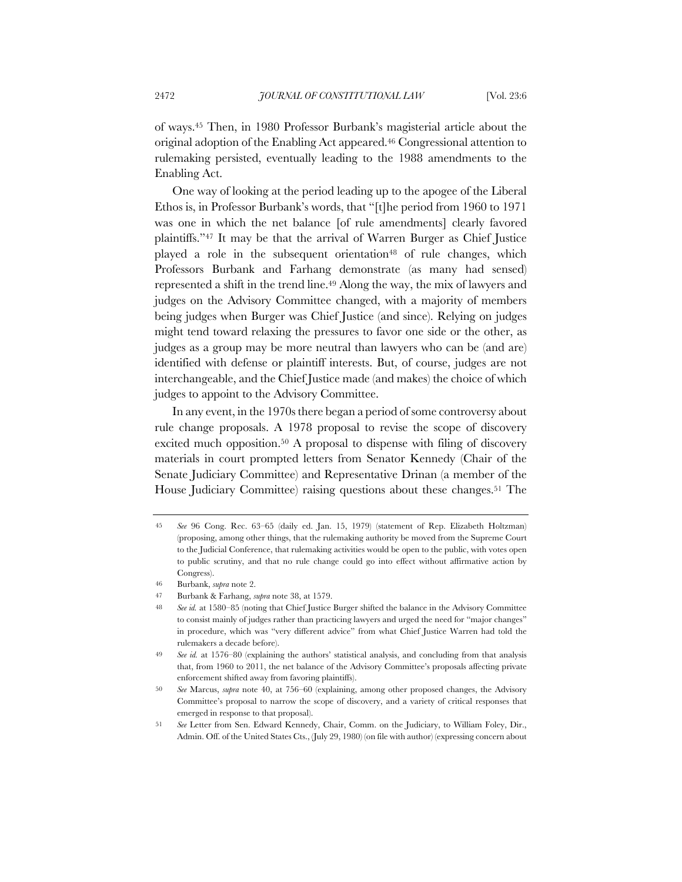of ways.45 Then, in 1980 Professor Burbank's magisterial article about the original adoption of the Enabling Act appeared.46 Congressional attention to rulemaking persisted, eventually leading to the 1988 amendments to the Enabling Act.

One way of looking at the period leading up to the apogee of the Liberal Ethos is, in Professor Burbank's words, that "[t]he period from 1960 to 1971 was one in which the net balance [of rule amendments] clearly favored plaintiffs."47 It may be that the arrival of Warren Burger as Chief Justice played a role in the subsequent orientation<sup>48</sup> of rule changes, which Professors Burbank and Farhang demonstrate (as many had sensed) represented a shift in the trend line.49 Along the way, the mix of lawyers and judges on the Advisory Committee changed, with a majority of members being judges when Burger was Chief Justice (and since). Relying on judges might tend toward relaxing the pressures to favor one side or the other, as judges as a group may be more neutral than lawyers who can be (and are) identified with defense or plaintiff interests. But, of course, judges are not interchangeable, and the Chief Justice made (and makes) the choice of which judges to appoint to the Advisory Committee.

In any event, in the 1970s there began a period of some controversy about rule change proposals. A 1978 proposal to revise the scope of discovery excited much opposition.50 A proposal to dispense with filing of discovery materials in court prompted letters from Senator Kennedy (Chair of the Senate Judiciary Committee) and Representative Drinan (a member of the House Judiciary Committee) raising questions about these changes.<sup>51</sup> The

<sup>45</sup> *See* 96 Cong. Rec. 63–65 (daily ed. Jan. 15, 1979) (statement of Rep. Elizabeth Holtzman) (proposing, among other things, that the rulemaking authority be moved from the Supreme Court to the Judicial Conference, that rulemaking activities would be open to the public, with votes open to public scrutiny, and that no rule change could go into effect without affirmative action by Congress).

<sup>46</sup> Burbank, *supra* note 2.

<sup>47</sup> Burbank & Farhang, *supra* note 38, at 1579.

<sup>48</sup> *See id.* at 1580–85 (noting that Chief Justice Burger shifted the balance in the Advisory Committee to consist mainly of judges rather than practicing lawyers and urged the need for "major changes" in procedure, which was "very different advice" from what Chief Justice Warren had told the rulemakers a decade before).

<sup>49</sup> *See id.* at 1576–80 (explaining the authors' statistical analysis, and concluding from that analysis that, from 1960 to 2011, the net balance of the Advisory Committee's proposals affecting private enforcement shifted away from favoring plaintiffs).

<sup>50</sup> *See* Marcus, *supra* note 40, at 756–60 (explaining, among other proposed changes, the Advisory Committee's proposal to narrow the scope of discovery, and a variety of critical responses that emerged in response to that proposal).

<sup>51</sup> *See* Letter from Sen. Edward Kennedy, Chair, Comm. on the Judiciary, to William Foley, Dir., Admin. Off. of the United States Cts., (July 29, 1980) (on file with author) (expressing concern about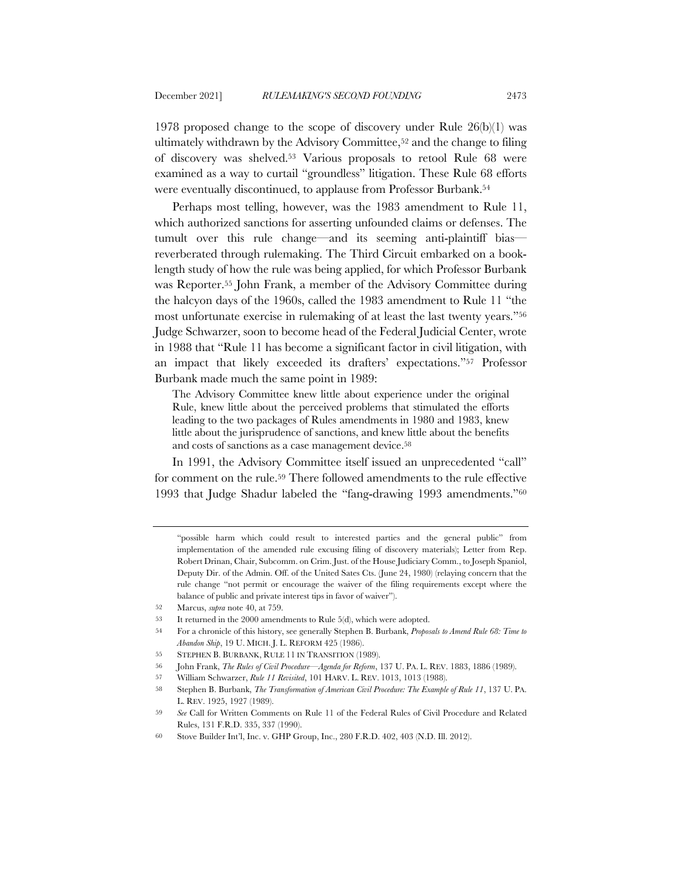1978 proposed change to the scope of discovery under Rule 26(b)(1) was ultimately withdrawn by the Advisory Committee,52 and the change to filing of discovery was shelved.53 Various proposals to retool Rule 68 were examined as a way to curtail "groundless" litigation. These Rule 68 efforts were eventually discontinued, to applause from Professor Burbank.54

Perhaps most telling, however, was the 1983 amendment to Rule 11, which authorized sanctions for asserting unfounded claims or defenses. The tumult over this rule change—and its seeming anti-plaintiff bias reverberated through rulemaking. The Third Circuit embarked on a booklength study of how the rule was being applied, for which Professor Burbank was Reporter.55 John Frank, a member of the Advisory Committee during the halcyon days of the 1960s, called the 1983 amendment to Rule 11 "the most unfortunate exercise in rulemaking of at least the last twenty years."56 Judge Schwarzer, soon to become head of the Federal Judicial Center, wrote in 1988 that "Rule 11 has become a significant factor in civil litigation, with an impact that likely exceeded its drafters' expectations."57 Professor Burbank made much the same point in 1989:

The Advisory Committee knew little about experience under the original Rule, knew little about the perceived problems that stimulated the efforts leading to the two packages of Rules amendments in 1980 and 1983, knew little about the jurisprudence of sanctions, and knew little about the benefits and costs of sanctions as a case management device.<sup>58</sup>

In 1991, the Advisory Committee itself issued an unprecedented "call" for comment on the rule.59 There followed amendments to the rule effective 1993 that Judge Shadur labeled the "fang-drawing 1993 amendments."60

54 For a chronicle of this history, see generally Stephen B. Burbank, *Proposals to Amend Rule 68: Time to Abandon Ship*, 19 U. MICH. J. L. REFORM 425 (1986).

57 William Schwarzer, *Rule 11 Revisited*, 101 HARV. L. REV. 1013, 1013 (1988).

<sup>&</sup>quot;possible harm which could result to interested parties and the general public" from implementation of the amended rule excusing filing of discovery materials); Letter from Rep. Robert Drinan, Chair, Subcomm. on Crim. Just. of the House Judiciary Comm., to Joseph Spaniol, Deputy Dir. of the Admin. Off. of the United Sates Cts. (June 24, 1980) (relaying concern that the rule change "not permit or encourage the waiver of the filing requirements except where the balance of public and private interest tips in favor of waiver").

<sup>52</sup> Marcus, *supra* note 40, at 759.

<sup>53</sup> It returned in the 2000 amendments to Rule 5(d), which were adopted.

<sup>55</sup> STEPHEN B. BURBANK, RULE 11 IN TRANSITION (1989).

<sup>56</sup> John Frank, *The Rules of Civil Procedure—Agenda for Reform*, 137 U. PA. L. REV. 1883, 1886 (1989).

<sup>58</sup> Stephen B. Burbank, *The Transformation of American Civil Procedure: The Example of Rule 11*, 137 U. PA. L. REV. 1925, 1927 (1989).

<sup>59</sup> *See* Call for Written Comments on Rule 11 of the Federal Rules of Civil Procedure and Related Rules, 131 F.R.D. 335, 337 (1990).

<sup>60</sup> Stove Builder Int'l, Inc. v. GHP Group, Inc., 280 F.R.D. 402, 403 (N.D. Ill. 2012).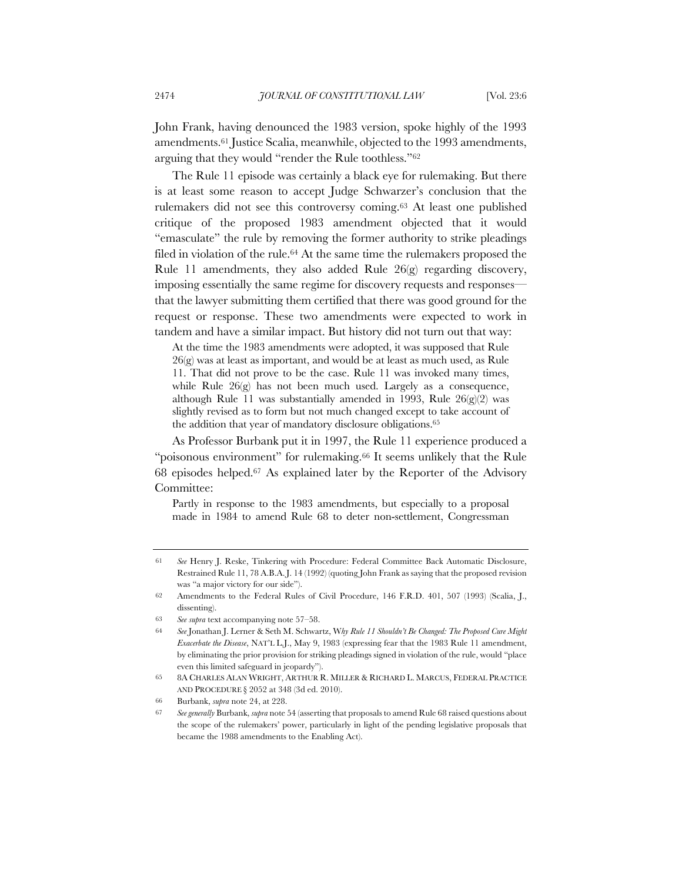John Frank, having denounced the 1983 version, spoke highly of the 1993 amendments.61 Justice Scalia, meanwhile, objected to the 1993 amendments, arguing that they would "render the Rule toothless."62

The Rule 11 episode was certainly a black eye for rulemaking. But there is at least some reason to accept Judge Schwarzer's conclusion that the rulemakers did not see this controversy coming.63 At least one published critique of the proposed 1983 amendment objected that it would "emasculate" the rule by removing the former authority to strike pleadings filed in violation of the rule.64 At the same time the rulemakers proposed the Rule 11 amendments, they also added Rule 26(g) regarding discovery, imposing essentially the same regime for discovery requests and responses that the lawyer submitting them certified that there was good ground for the request or response. These two amendments were expected to work in tandem and have a similar impact. But history did not turn out that way:

At the time the 1983 amendments were adopted, it was supposed that Rule 26(g) was at least as important, and would be at least as much used, as Rule 11. That did not prove to be the case. Rule 11 was invoked many times, while Rule 26(g) has not been much used. Largely as a consequence, although Rule 11 was substantially amended in 1993, Rule 26(g)(2) was slightly revised as to form but not much changed except to take account of the addition that year of mandatory disclosure obligations.65

As Professor Burbank put it in 1997, the Rule 11 experience produced a "poisonous environment" for rulemaking.66 It seems unlikely that the Rule 68 episodes helped.67 As explained later by the Reporter of the Advisory Committee:

Partly in response to the 1983 amendments, but especially to a proposal made in 1984 to amend Rule 68 to deter non-settlement, Congressman

<sup>61</sup> *See* Henry J. Reske, Tinkering with Procedure: Federal Committee Back Automatic Disclosure, Restrained Rule 11, 78 A.B.A.J. 14 (1992) (quoting John Frank as saying that the proposed revision was "a major victory for our side").

<sup>62</sup> Amendments to the Federal Rules of Civil Procedure, 146 F.R.D. 401, 507 (1993) (Scalia, J., dissenting).

<sup>63</sup> *See supra* text accompanying note 57–58.

<sup>64</sup> *See* Jonathan J. Lerner & Seth M. Schwartz, W*hy Rule 11 Shouldn't Be Changed: The Proposed Cure Might Exacerbate the Disease*, NAT'L L.J., May 9, 1983 (expressing fear that the 1983 Rule 11 amendment, by eliminating the prior provision for striking pleadings signed in violation of the rule, would "place even this limited safeguard in jeopardy").

<sup>65</sup> 8A CHARLES ALAN WRIGHT, ARTHUR R. MILLER & RICHARD L. MARCUS, FEDERAL PRACTICE AND PROCEDURE § 2052 at 348 (3d ed. 2010).

<sup>66</sup> Burbank, *supra* note 24, at 228.

<sup>67</sup> *See generally* Burbank, *supra* note 54 (asserting that proposals to amend Rule 68 raised questions about the scope of the rulemakers' power, particularly in light of the pending legislative proposals that became the 1988 amendments to the Enabling Act).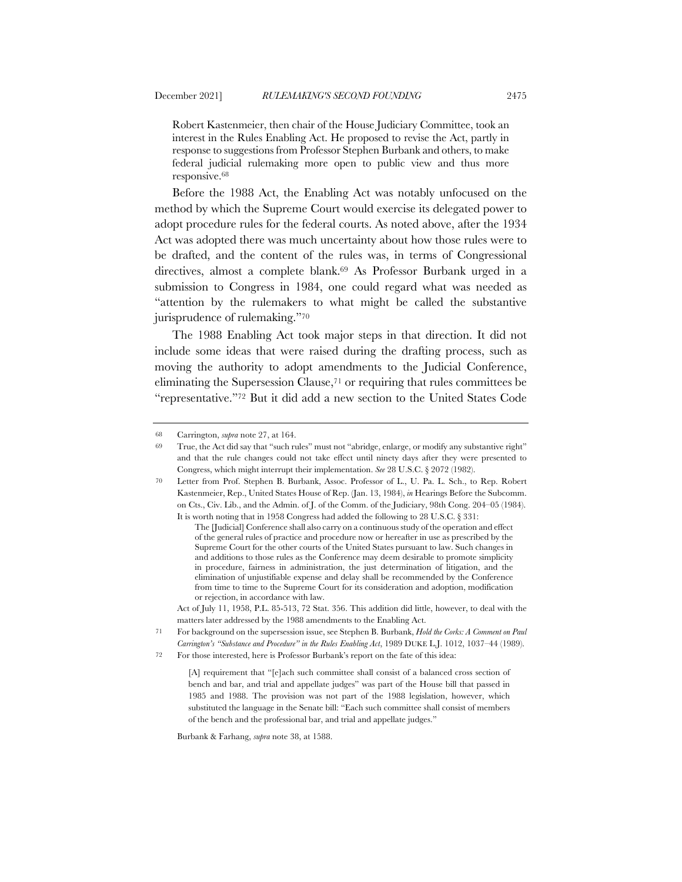Robert Kastenmeier, then chair of the House Judiciary Committee, took an interest in the Rules Enabling Act. He proposed to revise the Act, partly in response to suggestions from Professor Stephen Burbank and others, to make federal judicial rulemaking more open to public view and thus more responsive.68

Before the 1988 Act, the Enabling Act was notably unfocused on the method by which the Supreme Court would exercise its delegated power to adopt procedure rules for the federal courts. As noted above, after the 1934 Act was adopted there was much uncertainty about how those rules were to be drafted, and the content of the rules was, in terms of Congressional directives, almost a complete blank.69 As Professor Burbank urged in a submission to Congress in 1984, one could regard what was needed as "attention by the rulemakers to what might be called the substantive jurisprudence of rulemaking."70

The 1988 Enabling Act took major steps in that direction. It did not include some ideas that were raised during the drafting process, such as moving the authority to adopt amendments to the Judicial Conference, eliminating the Supersession Clause,71 or requiring that rules committees be "representative."72 But it did add a new section to the United States Code

<sup>68</sup> Carrington, *supra* note 27, at 164.

<sup>69</sup> True, the Act did say that "such rules" must not "abridge, enlarge, or modify any substantive right" and that the rule changes could not take effect until ninety days after they were presented to Congress, which might interrupt their implementation. *See* 28 U.S.C. § 2072 (1982).

<sup>70</sup> Letter from Prof. Stephen B. Burbank, Assoc. Professor of L., U. Pa. L. Sch., to Rep. Robert Kastenmeier, Rep., United States House of Rep. (Jan. 13, 1984), *in* Hearings Before the Subcomm. on Cts., Civ. Lib., and the Admin. of J. of the Comm. of the Judiciary, 98th Cong. 204–05 (1984). It is worth noting that in 1958 Congress had added the following to 28 U.S.C. § 331:

The [Judicial] Conference shall also carry on a continuous study of the operation and effect of the general rules of practice and procedure now or hereafter in use as prescribed by the Supreme Court for the other courts of the United States pursuant to law. Such changes in and additions to those rules as the Conference may deem desirable to promote simplicity in procedure, fairness in administration, the just determination of litigation, and the elimination of unjustifiable expense and delay shall be recommended by the Conference from time to time to the Supreme Court for its consideration and adoption, modification or rejection, in accordance with law.

Act of July 11, 1958, P.L. 85-513, 72 Stat. 356. This addition did little, however, to deal with the matters later addressed by the 1988 amendments to the Enabling Act.

<sup>71</sup> For background on the supersession issue, see Stephen B. Burbank, *Hold the Corks: A Comment on Paul Carrington's "Substance and Procedure" in the Rules Enabling Act*, 1989 DUKE L.J. 1012, 1037–44 (1989).

<sup>72</sup> For those interested, here is Professor Burbank's report on the fate of this idea:

<sup>[</sup>A] requirement that "[e]ach such committee shall consist of a balanced cross section of bench and bar, and trial and appellate judges" was part of the House bill that passed in 1985 and 1988. The provision was not part of the 1988 legislation, however, which substituted the language in the Senate bill: "Each such committee shall consist of members of the bench and the professional bar, and trial and appellate judges."

Burbank & Farhang, *supra* note 38, at 1588.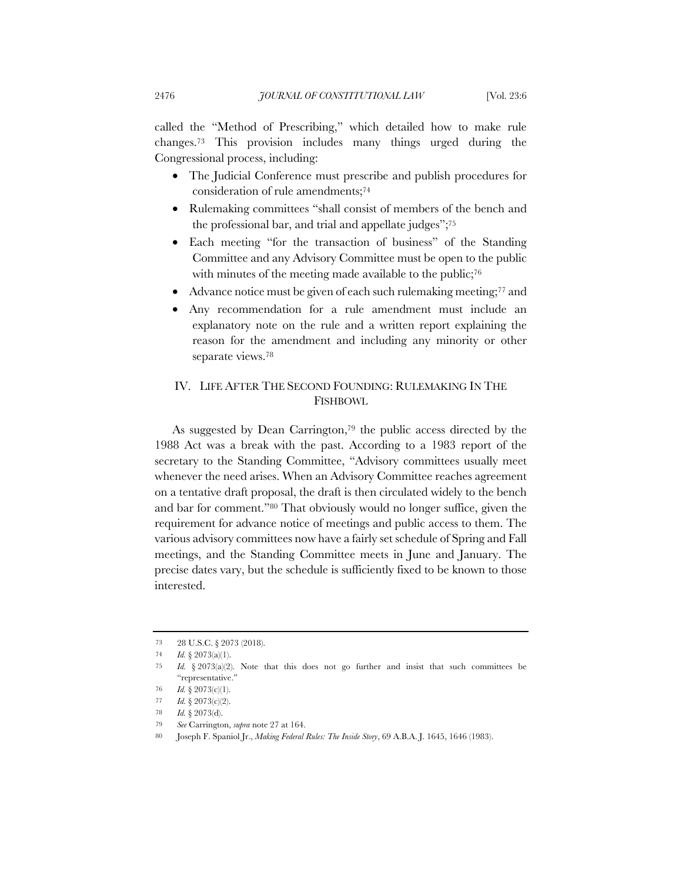called the "Method of Prescribing," which detailed how to make rule changes.73 This provision includes many things urged during the Congressional process, including:

- The Judicial Conference must prescribe and publish procedures for consideration of rule amendments;74
- Rulemaking committees "shall consist of members of the bench and the professional bar, and trial and appellate judges";75
- Each meeting "for the transaction of business" of the Standing Committee and any Advisory Committee must be open to the public with minutes of the meeting made available to the public;<sup>76</sup>
- Advance notice must be given of each such rulemaking meeting;<sup>77</sup> and
- Any recommendation for a rule amendment must include an explanatory note on the rule and a written report explaining the reason for the amendment and including any minority or other separate views.78

## IV. LIFE AFTER THE SECOND FOUNDING: RULEMAKING IN THE FISHBOWL

As suggested by Dean Carrington,79 the public access directed by the 1988 Act was a break with the past. According to a 1983 report of the secretary to the Standing Committee, "Advisory committees usually meet whenever the need arises. When an Advisory Committee reaches agreement on a tentative draft proposal, the draft is then circulated widely to the bench and bar for comment."80 That obviously would no longer suffice, given the requirement for advance notice of meetings and public access to them. The various advisory committees now have a fairly set schedule of Spring and Fall meetings, and the Standing Committee meets in June and January. The precise dates vary, but the schedule is sufficiently fixed to be known to those interested.

<sup>73</sup> 28 U.S.C. § 2073 (2018).

<sup>74</sup> *Id.* § 2073(a)(1).

<sup>75</sup> *Id.* § 2073(a)(2). Note that this does not go further and insist that such committees be "representative."

<sup>76</sup> *Id.* § 2073(c)(1).

<sup>77</sup> *Id.* § 2073(c)(2).

<sup>78</sup> *Id.* § 2073(d).

<sup>79</sup> *See* Carrington, *supra* note 27 at 164.

<sup>80</sup> Joseph F. Spaniol Jr., *Making Federal Rules: The Inside Story*, 69 A.B.A. J. 1645, 1646 (1983).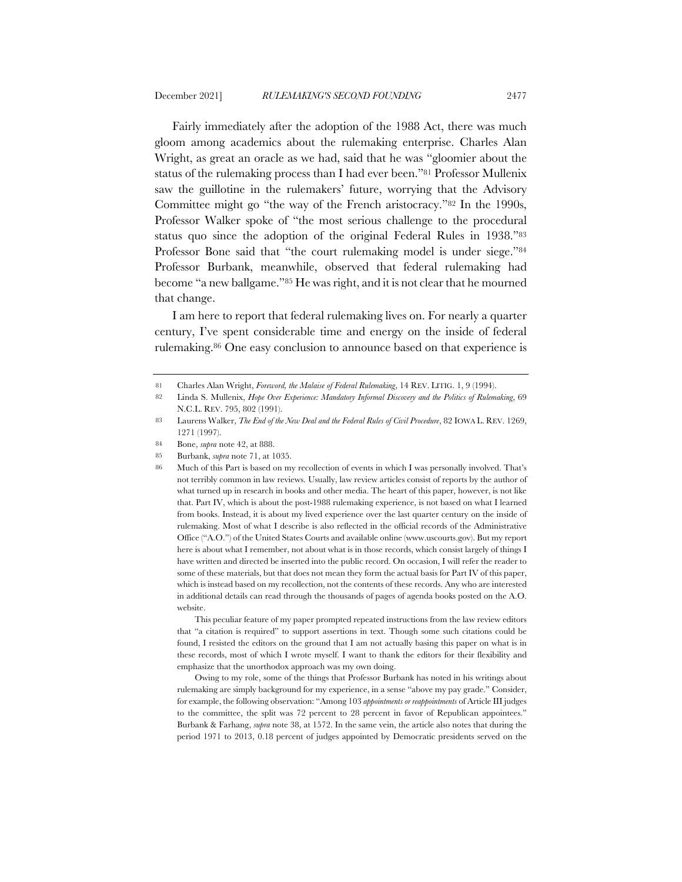Fairly immediately after the adoption of the 1988 Act, there was much gloom among academics about the rulemaking enterprise. Charles Alan Wright, as great an oracle as we had, said that he was "gloomier about the status of the rulemaking process than I had ever been."81 Professor Mullenix saw the guillotine in the rulemakers' future, worrying that the Advisory Committee might go "the way of the French aristocracy."82 In the 1990s, Professor Walker spoke of "the most serious challenge to the procedural status quo since the adoption of the original Federal Rules in 1938."83 Professor Bone said that "the court rulemaking model is under siege."84 Professor Burbank, meanwhile, observed that federal rulemaking had become "a new ballgame."85 He was right, and it is not clear that he mourned that change.

I am here to report that federal rulemaking lives on. For nearly a quarter century, I've spent considerable time and energy on the inside of federal rulemaking.86 One easy conclusion to announce based on that experience is

85 Burbank, *supra* note 71, at 1035.

This peculiar feature of my paper prompted repeated instructions from the law review editors that "a citation is required" to support assertions in text. Though some such citations could be found, I resisted the editors on the ground that I am not actually basing this paper on what is in these records, most of which I wrote myself. I want to thank the editors for their flexibility and emphasize that the unorthodox approach was my own doing.

Owing to my role, some of the things that Professor Burbank has noted in his writings about rulemaking are simply background for my experience, in a sense "above my pay grade." Consider, for example, the following observation: "Among 103 *appointments or reappointments* of Article III judges to the committee, the split was 72 percent to 28 percent in favor of Republican appointees." Burbank & Farhang, *supra* note 38, at 1572. In the same vein, the article also notes that during the period 1971 to 2013, 0.18 percent of judges appointed by Democratic presidents served on the

<sup>81</sup> Charles Alan Wright, *Foreword, the Malaise of Federal Rulemaking*, 14 REV. LITIG. 1, 9 (1994).

<sup>82</sup> Linda S. Mullenix, *Hope Over Experience: Mandatory Informal Discovery and the Politics of Rulemaking*, 69 N.C.L. REV. 795, 802 (1991).

<sup>83</sup> Laurens Walker, *The End of the New Deal and the Federal Rules of Civil Procedure*, 82 IOWA L. REV. 1269, 1271 (1997).

<sup>84</sup> Bone, *supra* note 42, at 888.

<sup>86</sup> Much of this Part is based on my recollection of events in which I was personally involved. That's not terribly common in law reviews. Usually, law review articles consist of reports by the author of what turned up in research in books and other media. The heart of this paper, however, is not like that. Part IV, which is about the post-1988 rulemaking experience, is not based on what I learned from books. Instead, it is about my lived experience over the last quarter century on the inside of rulemaking. Most of what I describe is also reflected in the official records of the Administrative Office ("A.O.") of the United States Courts and available online (www.uscourts.gov). But my report here is about what I remember, not about what is in those records, which consist largely of things I have written and directed be inserted into the public record. On occasion, I will refer the reader to some of these materials, but that does not mean they form the actual basis for Part IV of this paper, which is instead based on my recollection, not the contents of these records. Any who are interested in additional details can read through the thousands of pages of agenda books posted on the A.O. website.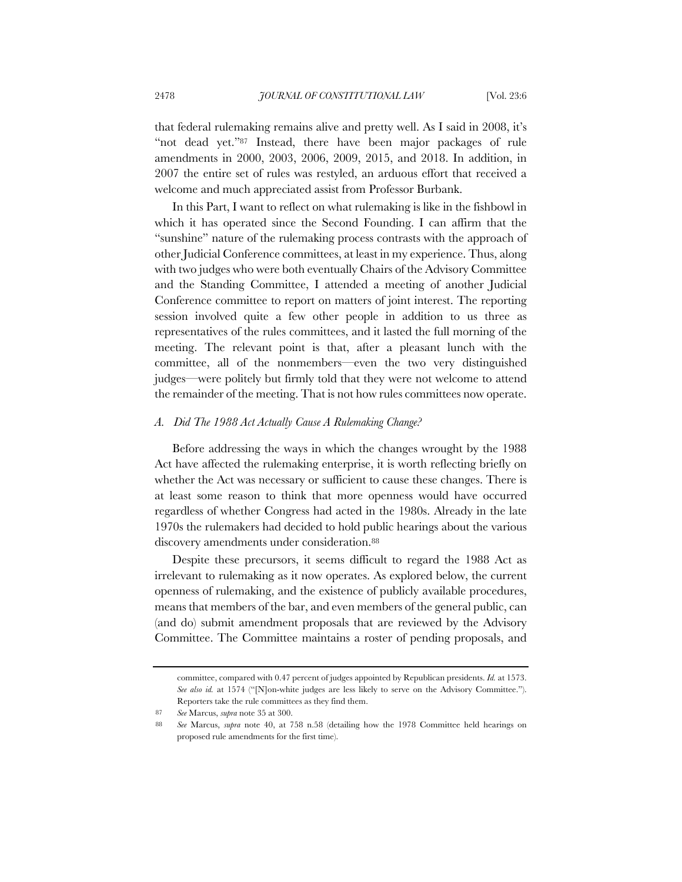that federal rulemaking remains alive and pretty well. As I said in 2008, it's "not dead yet."87 Instead, there have been major packages of rule amendments in 2000, 2003, 2006, 2009, 2015, and 2018. In addition, in 2007 the entire set of rules was restyled, an arduous effort that received a welcome and much appreciated assist from Professor Burbank.

In this Part, I want to reflect on what rulemaking is like in the fishbowl in which it has operated since the Second Founding. I can affirm that the "sunshine" nature of the rulemaking process contrasts with the approach of other Judicial Conference committees, at least in my experience. Thus, along with two judges who were both eventually Chairs of the Advisory Committee and the Standing Committee, I attended a meeting of another Judicial Conference committee to report on matters of joint interest. The reporting session involved quite a few other people in addition to us three as representatives of the rules committees, and it lasted the full morning of the meeting. The relevant point is that, after a pleasant lunch with the committee, all of the nonmembers—even the two very distinguished judges—were politely but firmly told that they were not welcome to attend the remainder of the meeting. That is not how rules committees now operate.

#### *A. Did The 1988 Act Actually Cause A Rulemaking Change?*

Before addressing the ways in which the changes wrought by the 1988 Act have affected the rulemaking enterprise, it is worth reflecting briefly on whether the Act was necessary or sufficient to cause these changes. There is at least some reason to think that more openness would have occurred regardless of whether Congress had acted in the 1980s. Already in the late 1970s the rulemakers had decided to hold public hearings about the various discovery amendments under consideration.<sup>88</sup>

Despite these precursors, it seems difficult to regard the 1988 Act as irrelevant to rulemaking as it now operates. As explored below, the current openness of rulemaking, and the existence of publicly available procedures, means that members of the bar, and even members of the general public, can (and do) submit amendment proposals that are reviewed by the Advisory Committee. The Committee maintains a roster of pending proposals, and

committee, compared with 0.47 percent of judges appointed by Republican presidents. *Id.* at 1573. *See also id.* at 1574 ("[N]on-white judges are less likely to serve on the Advisory Committee."). Reporters take the rule committees as they find them.

<sup>87</sup> *See* Marcus, *supra* note 35 at 300.

<sup>88</sup> *See* Marcus, *supra* note 40, at 758 n.58 (detailing how the 1978 Committee held hearings on proposed rule amendments for the first time).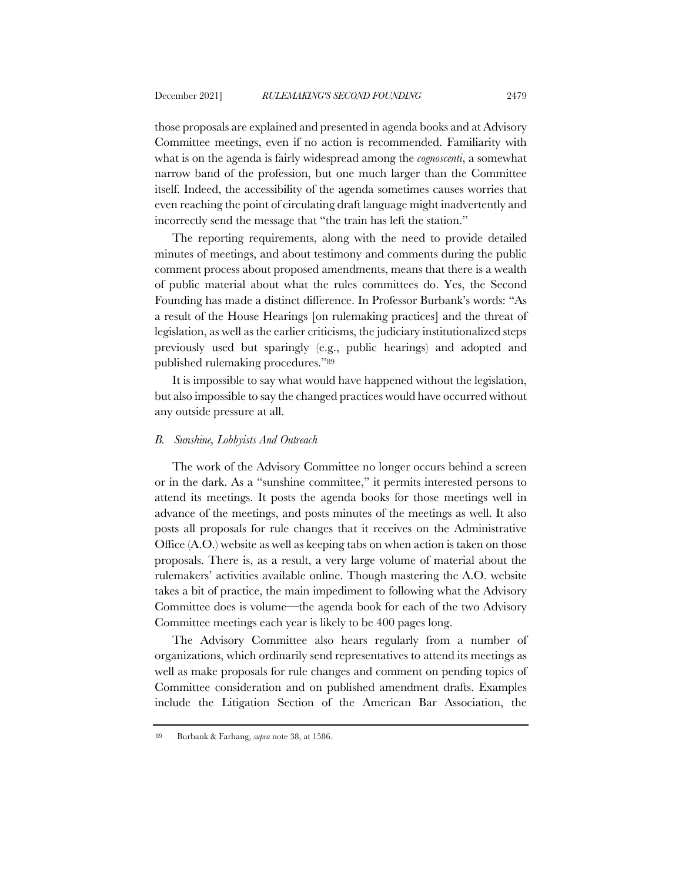those proposals are explained and presented in agenda books and at Advisory Committee meetings, even if no action is recommended. Familiarity with what is on the agenda is fairly widespread among the *cognoscenti*, a somewhat narrow band of the profession, but one much larger than the Committee itself. Indeed, the accessibility of the agenda sometimes causes worries that even reaching the point of circulating draft language might inadvertently and incorrectly send the message that "the train has left the station."

The reporting requirements, along with the need to provide detailed minutes of meetings, and about testimony and comments during the public comment process about proposed amendments, means that there is a wealth of public material about what the rules committees do. Yes, the Second Founding has made a distinct difference. In Professor Burbank's words: "As a result of the House Hearings [on rulemaking practices] and the threat of legislation, as well as the earlier criticisms, the judiciary institutionalized steps previously used but sparingly (e.g., public hearings) and adopted and published rulemaking procedures."89

It is impossible to say what would have happened without the legislation, but also impossible to say the changed practices would have occurred without any outside pressure at all.

### *B. Sunshine, Lobbyists And Outreach*

The work of the Advisory Committee no longer occurs behind a screen or in the dark. As a "sunshine committee," it permits interested persons to attend its meetings. It posts the agenda books for those meetings well in advance of the meetings, and posts minutes of the meetings as well. It also posts all proposals for rule changes that it receives on the Administrative Office (A.O.) website as well as keeping tabs on when action is taken on those proposals. There is, as a result, a very large volume of material about the rulemakers' activities available online. Though mastering the A.O. website takes a bit of practice, the main impediment to following what the Advisory Committee does is volume—the agenda book for each of the two Advisory Committee meetings each year is likely to be 400 pages long.

The Advisory Committee also hears regularly from a number of organizations, which ordinarily send representatives to attend its meetings as well as make proposals for rule changes and comment on pending topics of Committee consideration and on published amendment drafts. Examples include the Litigation Section of the American Bar Association, the

<sup>89</sup> Burbank & Farhang, *supra* note 38, at 1586.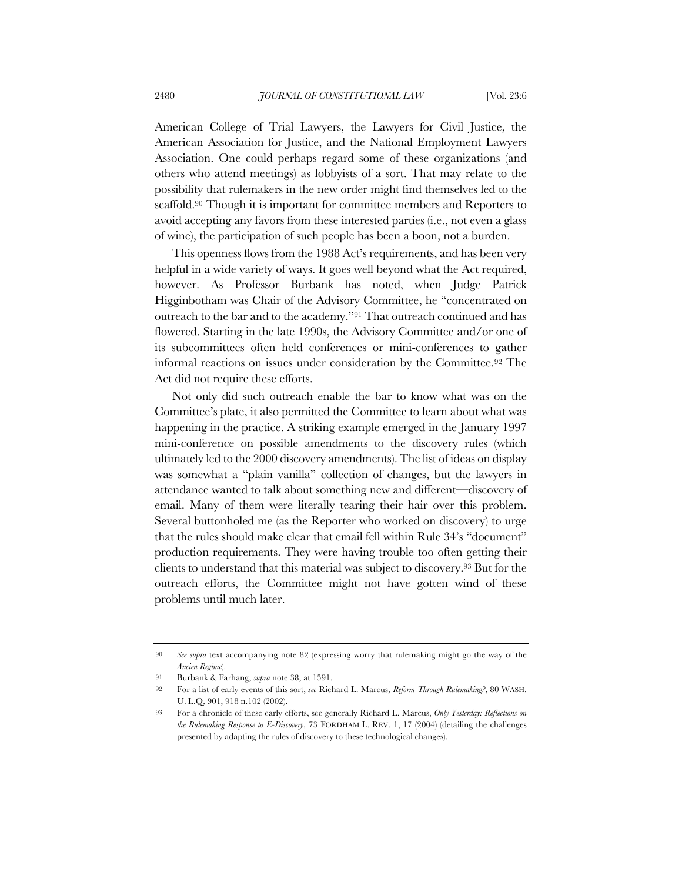American College of Trial Lawyers, the Lawyers for Civil Justice, the American Association for Justice, and the National Employment Lawyers Association. One could perhaps regard some of these organizations (and others who attend meetings) as lobbyists of a sort. That may relate to the possibility that rulemakers in the new order might find themselves led to the scaffold.90 Though it is important for committee members and Reporters to avoid accepting any favors from these interested parties (i.e., not even a glass of wine), the participation of such people has been a boon, not a burden.

This openness flows from the 1988 Act's requirements, and has been very helpful in a wide variety of ways. It goes well beyond what the Act required, however. As Professor Burbank has noted, when Judge Patrick Higginbotham was Chair of the Advisory Committee, he "concentrated on outreach to the bar and to the academy."91 That outreach continued and has flowered. Starting in the late 1990s, the Advisory Committee and/or one of its subcommittees often held conferences or mini-conferences to gather informal reactions on issues under consideration by the Committee.92 The Act did not require these efforts.

Not only did such outreach enable the bar to know what was on the Committee's plate, it also permitted the Committee to learn about what was happening in the practice. A striking example emerged in the January 1997 mini-conference on possible amendments to the discovery rules (which ultimately led to the 2000 discovery amendments). The list of ideas on display was somewhat a "plain vanilla" collection of changes, but the lawyers in attendance wanted to talk about something new and different—discovery of email. Many of them were literally tearing their hair over this problem. Several buttonholed me (as the Reporter who worked on discovery) to urge that the rules should make clear that email fell within Rule 34's "document" production requirements. They were having trouble too often getting their clients to understand that this material was subject to discovery.93 But for the outreach efforts, the Committee might not have gotten wind of these problems until much later.

<sup>90</sup> *See supra* text accompanying note 82 (expressing worry that rulemaking might go the way of the *Ancien Regime*).

<sup>91</sup> Burbank & Farhang, *supra* note 38, at 1591.

<sup>92</sup> For a list of early events of this sort, *see* Richard L. Marcus, *Reform Through Rulemaking?*, 80 WASH. U. L.Q. 901, 918 n.102 (2002).

<sup>93</sup> For a chronicle of these early efforts, see generally Richard L. Marcus, *Only Yesterday: Reflections on the Rulemaking Response to E-Discovery*, 73 FORDHAM L. REV. 1, 17 (2004) (detailing the challenges presented by adapting the rules of discovery to these technological changes).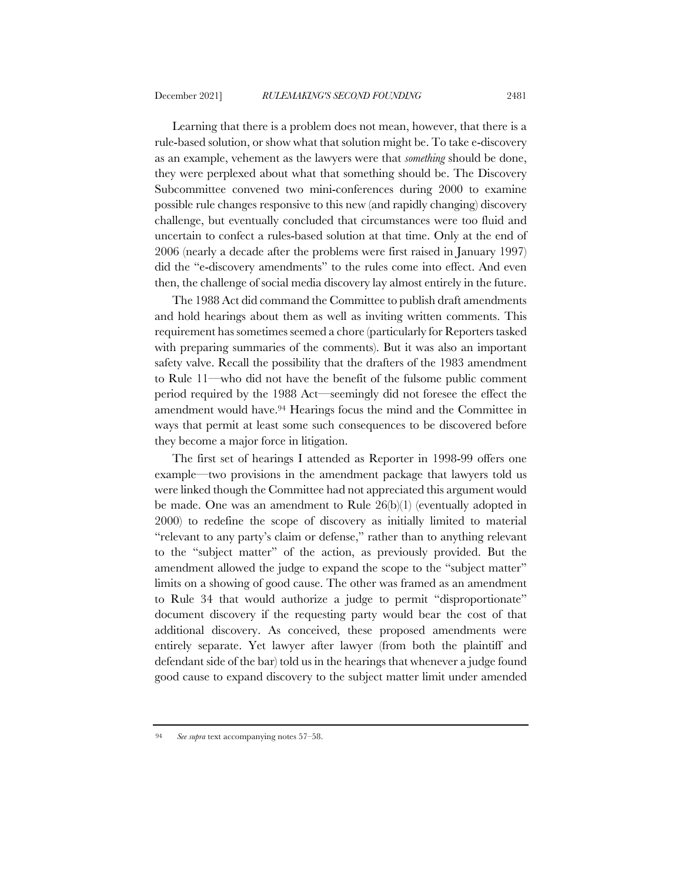Learning that there is a problem does not mean, however, that there is a rule-based solution, or show what that solution might be. To take e-discovery as an example, vehement as the lawyers were that *something* should be done, they were perplexed about what that something should be. The Discovery Subcommittee convened two mini-conferences during 2000 to examine possible rule changes responsive to this new (and rapidly changing) discovery challenge, but eventually concluded that circumstances were too fluid and uncertain to confect a rules-based solution at that time. Only at the end of 2006 (nearly a decade after the problems were first raised in January 1997) did the "e-discovery amendments" to the rules come into effect. And even then, the challenge of social media discovery lay almost entirely in the future.

The 1988 Act did command the Committee to publish draft amendments and hold hearings about them as well as inviting written comments. This requirement has sometimes seemed a chore (particularly for Reporters tasked with preparing summaries of the comments). But it was also an important safety valve. Recall the possibility that the drafters of the 1983 amendment to Rule 11—who did not have the benefit of the fulsome public comment period required by the 1988 Act—seemingly did not foresee the effect the amendment would have.94 Hearings focus the mind and the Committee in ways that permit at least some such consequences to be discovered before they become a major force in litigation.

The first set of hearings I attended as Reporter in 1998-99 offers one example—two provisions in the amendment package that lawyers told us were linked though the Committee had not appreciated this argument would be made. One was an amendment to Rule 26(b)(1) (eventually adopted in 2000) to redefine the scope of discovery as initially limited to material "relevant to any party's claim or defense," rather than to anything relevant to the "subject matter" of the action, as previously provided. But the amendment allowed the judge to expand the scope to the "subject matter" limits on a showing of good cause. The other was framed as an amendment to Rule 34 that would authorize a judge to permit "disproportionate" document discovery if the requesting party would bear the cost of that additional discovery. As conceived, these proposed amendments were entirely separate. Yet lawyer after lawyer (from both the plaintiff and defendant side of the bar) told us in the hearings that whenever a judge found good cause to expand discovery to the subject matter limit under amended

<sup>94</sup> *See supra* text accompanying notes 57–58.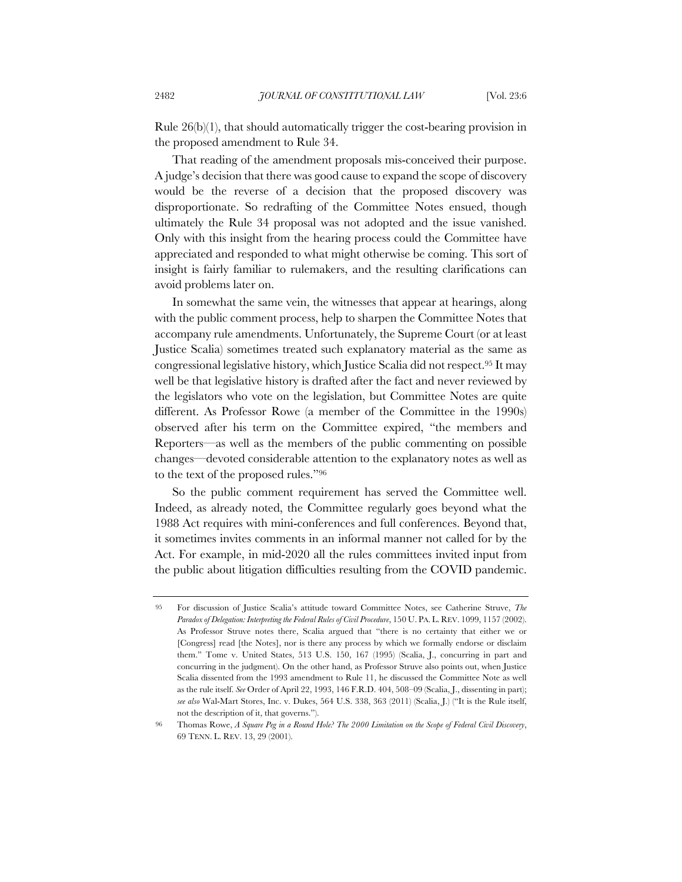Rule 26(b)(1), that should automatically trigger the cost-bearing provision in the proposed amendment to Rule 34.

That reading of the amendment proposals mis-conceived their purpose. A judge's decision that there was good cause to expand the scope of discovery would be the reverse of a decision that the proposed discovery was disproportionate. So redrafting of the Committee Notes ensued, though ultimately the Rule 34 proposal was not adopted and the issue vanished. Only with this insight from the hearing process could the Committee have appreciated and responded to what might otherwise be coming. This sort of insight is fairly familiar to rulemakers, and the resulting clarifications can avoid problems later on.

In somewhat the same vein, the witnesses that appear at hearings, along with the public comment process, help to sharpen the Committee Notes that accompany rule amendments. Unfortunately, the Supreme Court (or at least Justice Scalia) sometimes treated such explanatory material as the same as congressional legislative history, which Justice Scalia did not respect.95 It may well be that legislative history is drafted after the fact and never reviewed by the legislators who vote on the legislation, but Committee Notes are quite different. As Professor Rowe (a member of the Committee in the 1990s) observed after his term on the Committee expired, "the members and Reporters—as well as the members of the public commenting on possible changes—devoted considerable attention to the explanatory notes as well as to the text of the proposed rules."96

So the public comment requirement has served the Committee well. Indeed, as already noted, the Committee regularly goes beyond what the 1988 Act requires with mini-conferences and full conferences. Beyond that, it sometimes invites comments in an informal manner not called for by the Act. For example, in mid-2020 all the rules committees invited input from the public about litigation difficulties resulting from the COVID pandemic.

<sup>95</sup> For discussion of Justice Scalia's attitude toward Committee Notes, see Catherine Struve, *The Paradox of Delegation: Interpreting the Federal Rules of Civil Procedure*, 150 U. PA. L. REV. 1099, 1157 (2002). As Professor Struve notes there, Scalia argued that "there is no certainty that either we or [Congress] read [the Notes], nor is there any process by which we formally endorse or disclaim them." Tome v. United States, 513 U.S. 150, 167 (1995) (Scalia, J., concurring in part and concurring in the judgment). On the other hand, as Professor Struve also points out, when Justice Scalia dissented from the 1993 amendment to Rule 11, he discussed the Committee Note as well as the rule itself. *See* Order of April 22, 1993, 146 F.R.D. 404, 508–09 (Scalia, J., dissenting in part); *see also* Wal-Mart Stores, Inc. v. Dukes, 564 U.S. 338, 363 (2011) (Scalia, J.) ("It is the Rule itself, not the description of it, that governs.").

<sup>96</sup> Thomas Rowe, *A Square Peg in a Round Hole? The 2000 Limitation on the Scope of Federal Civil Discovery*, 69 TENN. L. REV. 13, 29 (2001).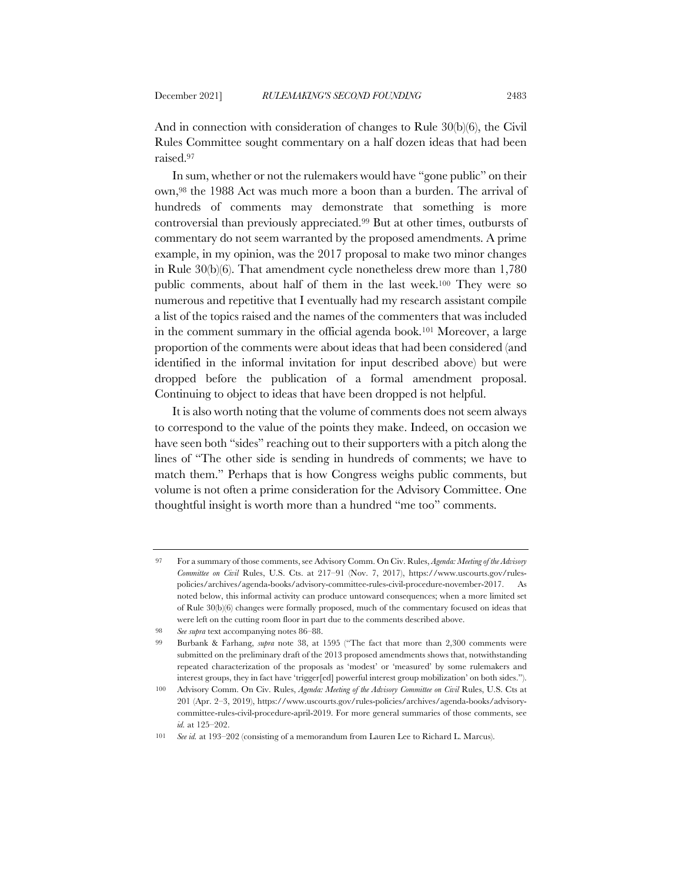And in connection with consideration of changes to Rule 30(b)(6), the Civil Rules Committee sought commentary on a half dozen ideas that had been raised.97

In sum, whether or not the rulemakers would have "gone public" on their own,98 the 1988 Act was much more a boon than a burden. The arrival of hundreds of comments may demonstrate that something is more controversial than previously appreciated.99 But at other times, outbursts of commentary do not seem warranted by the proposed amendments. A prime example, in my opinion, was the 2017 proposal to make two minor changes in Rule 30(b)(6). That amendment cycle nonetheless drew more than 1,780 public comments, about half of them in the last week.100 They were so numerous and repetitive that I eventually had my research assistant compile a list of the topics raised and the names of the commenters that was included in the comment summary in the official agenda book.101 Moreover, a large proportion of the comments were about ideas that had been considered (and identified in the informal invitation for input described above) but were dropped before the publication of a formal amendment proposal. Continuing to object to ideas that have been dropped is not helpful.

It is also worth noting that the volume of comments does not seem always to correspond to the value of the points they make. Indeed, on occasion we have seen both "sides" reaching out to their supporters with a pitch along the lines of "The other side is sending in hundreds of comments; we have to match them." Perhaps that is how Congress weighs public comments, but volume is not often a prime consideration for the Advisory Committee. One thoughtful insight is worth more than a hundred "me too" comments.

<sup>97</sup> For a summary of those comments, see Advisory Comm. On Civ. Rules, *Agenda: Meeting of the Advisory Committee on Civil* Rules, U.S. Cts. at 217–91 (Nov. 7, 2017), https://www.uscourts.gov/rulespolicies/archives/agenda-books/advisory-committee-rules-civil-procedure-november-2017. As noted below, this informal activity can produce untoward consequences; when a more limited set of Rule 30(b)(6) changes were formally proposed, much of the commentary focused on ideas that were left on the cutting room floor in part due to the comments described above.

<sup>98</sup> *See supra* text accompanying notes 86–88.

<sup>99</sup> Burbank & Farhang, *supra* note 38, at 1595 ("The fact that more than 2,300 comments were submitted on the preliminary draft of the 2013 proposed amendments shows that, notwithstanding repeated characterization of the proposals as 'modest' or 'measured' by some rulemakers and interest groups, they in fact have 'trigger[ed] powerful interest group mobilization' on both sides.").

<sup>100</sup> Advisory Comm. On Civ. Rules, *Agenda: Meeting of the Advisory Committee on Civil* Rules, U.S. Cts at 201 (Apr. 2–3, 2019), https://www.uscourts.gov/rules-policies/archives/agenda-books/advisorycommittee-rules-civil-procedure-april-2019. For more general summaries of those comments, see *id.* at 125–202.

<sup>101</sup> *See id.* at 193–202 (consisting of a memorandum from Lauren Lee to Richard L. Marcus).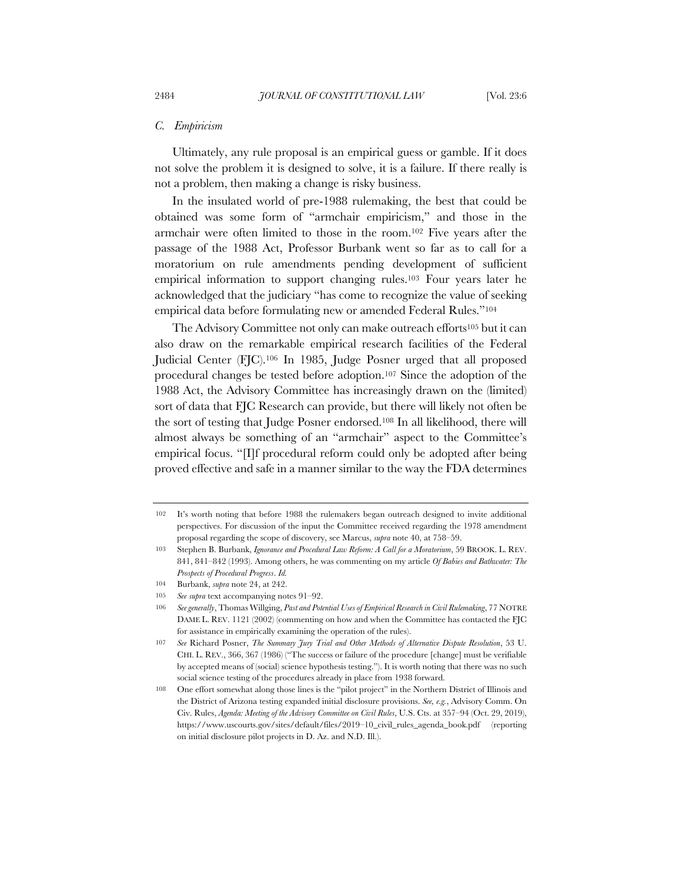#### *C. Empiricism*

Ultimately, any rule proposal is an empirical guess or gamble. If it does not solve the problem it is designed to solve, it is a failure. If there really is not a problem, then making a change is risky business.

In the insulated world of pre-1988 rulemaking, the best that could be obtained was some form of "armchair empiricism," and those in the armchair were often limited to those in the room.102 Five years after the passage of the 1988 Act, Professor Burbank went so far as to call for a moratorium on rule amendments pending development of sufficient empirical information to support changing rules.103 Four years later he acknowledged that the judiciary "has come to recognize the value of seeking empirical data before formulating new or amended Federal Rules."104

The Advisory Committee not only can make outreach efforts<sup>105</sup> but it can also draw on the remarkable empirical research facilities of the Federal Judicial Center (FJC).106 In 1985, Judge Posner urged that all proposed procedural changes be tested before adoption.107 Since the adoption of the 1988 Act, the Advisory Committee has increasingly drawn on the (limited) sort of data that FJC Research can provide, but there will likely not often be the sort of testing that Judge Posner endorsed.108 In all likelihood, there will almost always be something of an "armchair" aspect to the Committee's empirical focus. "[I]f procedural reform could only be adopted after being proved effective and safe in a manner similar to the way the FDA determines

<sup>102</sup> It's worth noting that before 1988 the rulemakers began outreach designed to invite additional perspectives. For discussion of the input the Committee received regarding the 1978 amendment proposal regarding the scope of discovery, see Marcus, *supra* note 40, at 758–59.

<sup>103</sup> Stephen B. Burbank, *Ignorance and Procedural Law Reform: A Call for a Moratorium*, 59 BROOK. L. REV. 841, 841–842 (1993). Among others, he was commenting on my article *Of Babies and Bathwater: The Prospects of Procedural Progress*. *Id.*

<sup>104</sup> Burbank, *supra* note 24, at 242.

<sup>105</sup> *See supra* text accompanying notes 91–92.

<sup>106</sup> *See generally*, Thomas Willging, *Past and Potential Uses of Empirical Research in Civil Rulemaking*, 77 NOTRE DAME L. REV. 1121 (2002) (commenting on how and when the Committee has contacted the FJC for assistance in empirically examining the operation of the rules).

<sup>107</sup> *See* Richard Posner, *The Summary Jury Trial and Other Methods of Alternative Dispute Resolution*, 53 U. CHI. L. REV., 366, 367 (1986) ("The success or failure of the procedure [change] must be verifiable by accepted means of (social) science hypothesis testing."). It is worth noting that there was no such social science testing of the procedures already in place from 1938 forward.

<sup>108</sup> One effort somewhat along those lines is the "pilot project" in the Northern District of Illinois and the District of Arizona testing expanded initial disclosure provisions. *See, e.g.*, Advisory Comm. On Civ. Rules, *Agenda: Meeting of the Advisory Committee on Civil Rules*, U.S. Cts. at 357–94 (Oct. 29, 2019), https://www.uscourts.gov/sites/default/files/2019–10\_civil\_rules\_agenda\_book.pdf (reporting on initial disclosure pilot projects in D. Az. and N.D. Ill.).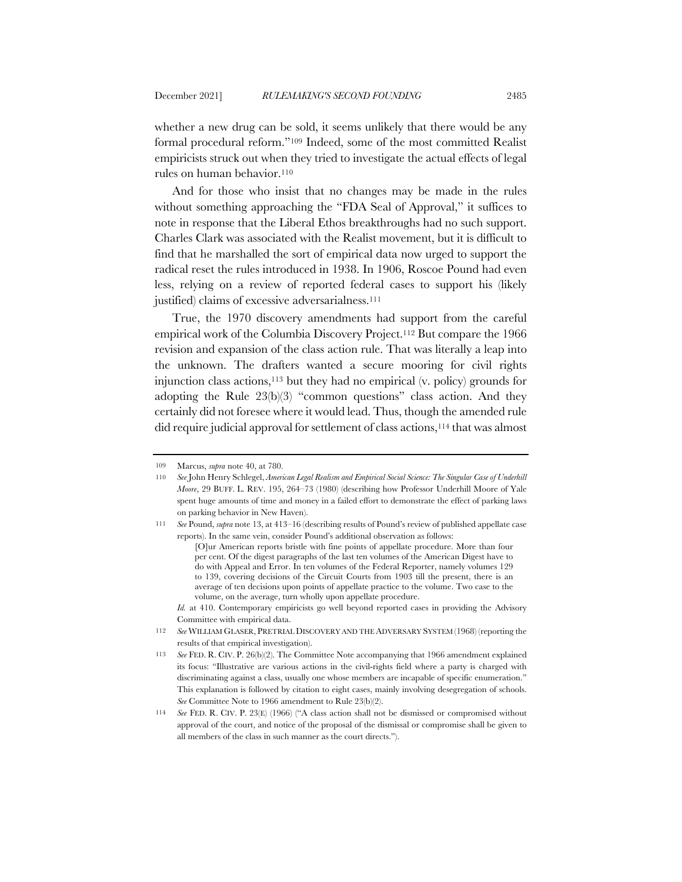whether a new drug can be sold, it seems unlikely that there would be any formal procedural reform."109 Indeed, some of the most committed Realist empiricists struck out when they tried to investigate the actual effects of legal rules on human behavior.110

And for those who insist that no changes may be made in the rules without something approaching the "FDA Seal of Approval," it suffices to note in response that the Liberal Ethos breakthroughs had no such support. Charles Clark was associated with the Realist movement, but it is difficult to find that he marshalled the sort of empirical data now urged to support the radical reset the rules introduced in 1938. In 1906, Roscoe Pound had even less, relying on a review of reported federal cases to support his (likely justified) claims of excessive adversarialness.<sup>111</sup>

True, the 1970 discovery amendments had support from the careful empirical work of the Columbia Discovery Project.112 But compare the 1966 revision and expansion of the class action rule. That was literally a leap into the unknown. The drafters wanted a secure mooring for civil rights injunction class actions,113 but they had no empirical (v. policy) grounds for adopting the Rule 23(b)(3) "common questions" class action. And they certainly did not foresee where it would lead. Thus, though the amended rule did require judicial approval for settlement of class actions,114 that was almost

*Id.* at 410. Contemporary empiricists go well beyond reported cases in providing the Advisory Committee with empirical data.

<sup>109</sup> Marcus, *supra* note 40, at 780.

<sup>110</sup> *See* John Henry Schlegel, *American Legal Realism and Empirical Social Science: The Singular Case of Underhill Moore*, 29 BUFF. L. REV. 195, 264–73 (1980) (describing how Professor Underhill Moore of Yale spent huge amounts of time and money in a failed effort to demonstrate the effect of parking laws on parking behavior in New Haven).

<sup>111</sup> *See* Pound, *supra* note 13, at 413–16 (describing results of Pound's review of published appellate case reports). In the same vein, consider Pound's additional observation as follows:

<sup>[</sup>O]ur American reports bristle with fine points of appellate procedure. More than four per cent. Of the digest paragraphs of the last ten volumes of the American Digest have to do with Appeal and Error. In ten volumes of the Federal Reporter, namely volumes 129 to 139, covering decisions of the Circuit Courts from 1903 till the present, there is an average of ten decisions upon points of appellate practice to the volume. Two case to the volume, on the average, turn wholly upon appellate procedure.

<sup>112</sup> *See* WILLIAM GLASER, PRETRIAL DISCOVERY AND THE ADVERSARY SYSTEM (1968) (reporting the results of that empirical investigation).

<sup>113</sup> *See* FED. R. CIV. P. 26(b)(2). The Committee Note accompanying that 1966 amendment explained its focus: "Illustrative are various actions in the civil-rights field where a party is charged with discriminating against a class, usually one whose members are incapable of specific enumeration." This explanation is followed by citation to eight cases, mainly involving desegregation of schools. *See* Committee Note to 1966 amendment to Rule 23(b)(2).

<sup>114</sup> *See* FED. R. CIV. P. 23(E) (1966) ("A class action shall not be dismissed or compromised without approval of the court, and notice of the proposal of the dismissal or compromise shall be given to all members of the class in such manner as the court directs.").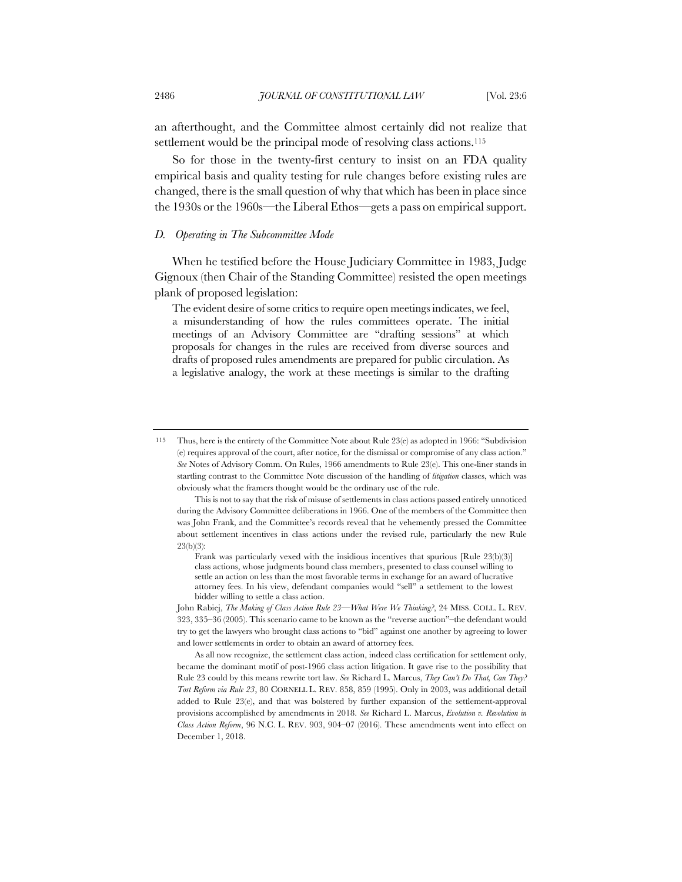an afterthought, and the Committee almost certainly did not realize that settlement would be the principal mode of resolving class actions.<sup>115</sup>

So for those in the twenty-first century to insist on an FDA quality empirical basis and quality testing for rule changes before existing rules are changed, there is the small question of why that which has been in place since the 1930s or the 1960s—the Liberal Ethos—gets a pass on empirical support.

#### *D. Operating in The Subcommittee Mode*

When he testified before the House Judiciary Committee in 1983, Judge Gignoux (then Chair of the Standing Committee) resisted the open meetings plank of proposed legislation:

The evident desire of some critics to require open meetings indicates, we feel, a misunderstanding of how the rules committees operate. The initial meetings of an Advisory Committee are "drafting sessions" at which proposals for changes in the rules are received from diverse sources and drafts of proposed rules amendments are prepared for public circulation. As a legislative analogy, the work at these meetings is similar to the drafting

<sup>115</sup> Thus, here is the entirety of the Committee Note about Rule 23(e) as adopted in 1966: "Subdivision (e) requires approval of the court, after notice, for the dismissal or compromise of any class action." *See* Notes of Advisory Comm. On Rules, 1966 amendments to Rule 23(e). This one-liner stands in startling contrast to the Committee Note discussion of the handling of *litigation* classes, which was obviously what the framers thought would be the ordinary use of the rule.

This is not to say that the risk of misuse of settlements in class actions passed entirely unnoticed during the Advisory Committee deliberations in 1966. One of the members of the Committee then was John Frank, and the Committee's records reveal that he vehemently pressed the Committee about settlement incentives in class actions under the revised rule, particularly the new Rule 23(b)(3):

Frank was particularly vexed with the insidious incentives that spurious [Rule 23(b)(3)] class actions, whose judgments bound class members, presented to class counsel willing to settle an action on less than the most favorable terms in exchange for an award of lucrative attorney fees. In his view, defendant companies would "sell" a settlement to the lowest bidder willing to settle a class action.

John Rabiej, *The Making of Class Action Rule 23*—*What Were We Thinking?*, 24 MISS. COLL. L. REV. 323, 335–36 (2005). This scenario came to be known as the "reverse auction"–the defendant would try to get the lawyers who brought class actions to "bid" against one another by agreeing to lower and lower settlements in order to obtain an award of attorney fees.

As all now recognize, the settlement class action, indeed class certification for settlement only, became the dominant motif of post-1966 class action litigation. It gave rise to the possibility that Rule 23 could by this means rewrite tort law. *See* Richard L. Marcus, *They Can't Do That, Can They? Tort Reform via Rule 23*, 80 CORNELL L. REV. 858, 859 (1995). Only in 2003, was additional detail added to Rule 23(e), and that was bolstered by further expansion of the settlement-approval provisions accomplished by amendments in 2018. *See* Richard L. Marcus, *Evolution v. Revolution in Class Action Reform*, 96 N.C. L. REV. 903, 904–07 (2016). These amendments went into effect on December 1, 2018.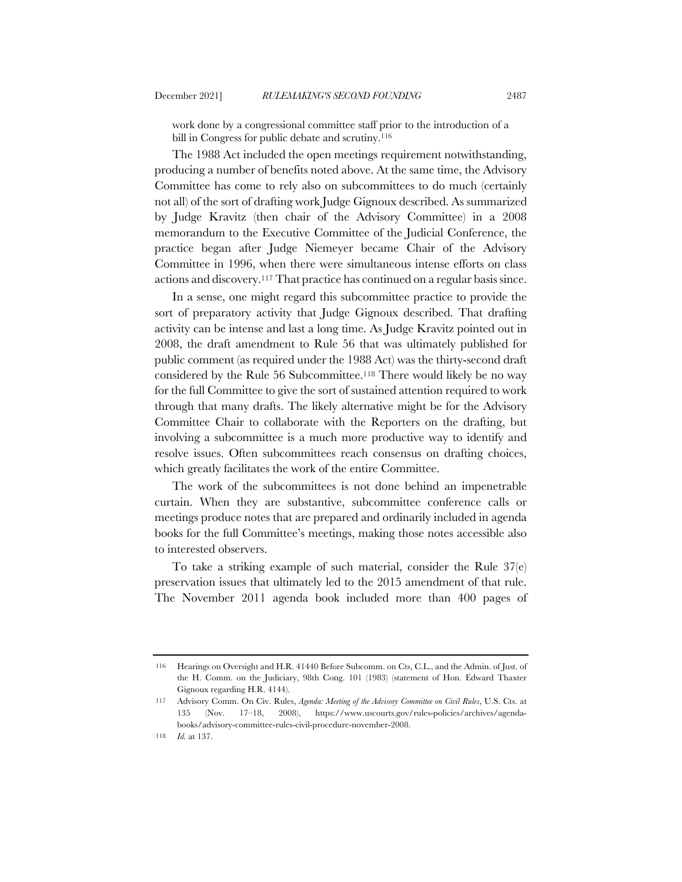work done by a congressional committee staff prior to the introduction of a bill in Congress for public debate and scrutiny.<sup>116</sup>

The 1988 Act included the open meetings requirement notwithstanding, producing a number of benefits noted above. At the same time, the Advisory Committee has come to rely also on subcommittees to do much (certainly not all) of the sort of drafting work Judge Gignoux described. As summarized by Judge Kravitz (then chair of the Advisory Committee) in a 2008 memorandum to the Executive Committee of the Judicial Conference, the practice began after Judge Niemeyer became Chair of the Advisory Committee in 1996, when there were simultaneous intense efforts on class actions and discovery.117 That practice has continued on a regular basis since.

In a sense, one might regard this subcommittee practice to provide the sort of preparatory activity that Judge Gignoux described. That drafting activity can be intense and last a long time. As Judge Kravitz pointed out in 2008, the draft amendment to Rule 56 that was ultimately published for public comment (as required under the 1988 Act) was the thirty-second draft considered by the Rule 56 Subcommittee.118 There would likely be no way for the full Committee to give the sort of sustained attention required to work through that many drafts. The likely alternative might be for the Advisory Committee Chair to collaborate with the Reporters on the drafting, but involving a subcommittee is a much more productive way to identify and resolve issues. Often subcommittees reach consensus on drafting choices, which greatly facilitates the work of the entire Committee.

The work of the subcommittees is not done behind an impenetrable curtain. When they are substantive, subcommittee conference calls or meetings produce notes that are prepared and ordinarily included in agenda books for the full Committee's meetings, making those notes accessible also to interested observers.

To take a striking example of such material, consider the Rule 37(e) preservation issues that ultimately led to the 2015 amendment of that rule. The November 2011 agenda book included more than 400 pages of

<sup>116</sup> Hearings on Oversight and H.R. 41440 Before Subcomm. on Cts, C.L., and the Admin. of Just. of the H. Comm. on the Judiciary, 98th Cong. 101 (1983) (statement of Hon. Edward Thaxter Gignoux regarding H.R. 4144).

<sup>117</sup> Advisory Comm. On Civ. Rules, *Agenda: Meeting of the Advisory Committee on Civil Rules*, U.S. Cts. at 135 (Nov. 17–18, 2008), https://www.uscourts.gov/rules-policies/archives/agendabooks/advisory-committee-rules-civil-procedure-november-2008.

<sup>118</sup> *Id.* at 137.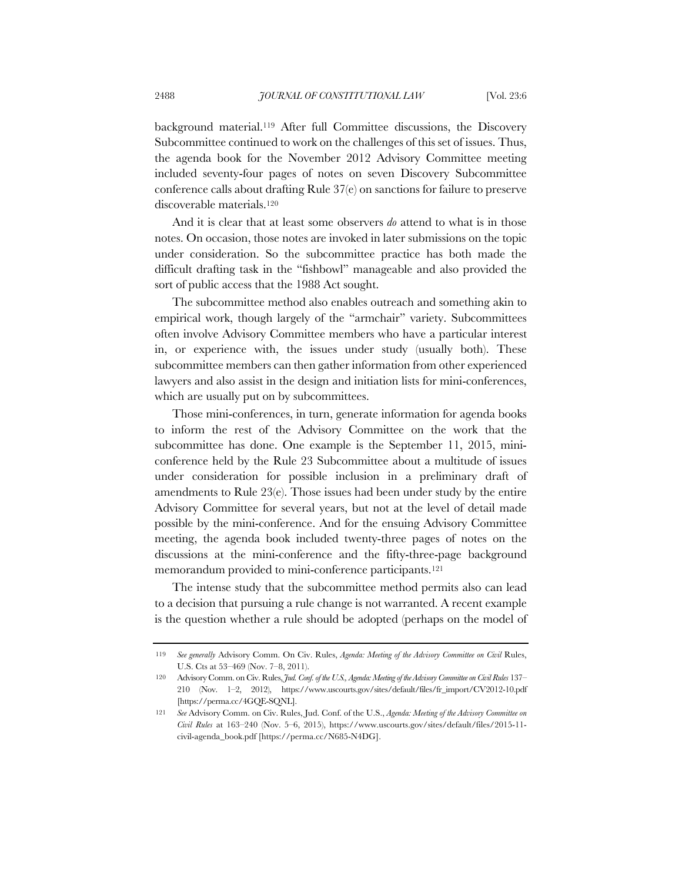background material.119 After full Committee discussions, the Discovery Subcommittee continued to work on the challenges of this set of issues. Thus, the agenda book for the November 2012 Advisory Committee meeting included seventy-four pages of notes on seven Discovery Subcommittee conference calls about drafting Rule 37(e) on sanctions for failure to preserve discoverable materials.120

And it is clear that at least some observers *do* attend to what is in those notes. On occasion, those notes are invoked in later submissions on the topic under consideration. So the subcommittee practice has both made the difficult drafting task in the "fishbowl" manageable and also provided the sort of public access that the 1988 Act sought.

The subcommittee method also enables outreach and something akin to empirical work, though largely of the "armchair" variety. Subcommittees often involve Advisory Committee members who have a particular interest in, or experience with, the issues under study (usually both). These subcommittee members can then gather information from other experienced lawyers and also assist in the design and initiation lists for mini-conferences, which are usually put on by subcommittees.

Those mini-conferences, in turn, generate information for agenda books to inform the rest of the Advisory Committee on the work that the subcommittee has done. One example is the September 11, 2015, miniconference held by the Rule 23 Subcommittee about a multitude of issues under consideration for possible inclusion in a preliminary draft of amendments to Rule 23(e). Those issues had been under study by the entire Advisory Committee for several years, but not at the level of detail made possible by the mini-conference. And for the ensuing Advisory Committee meeting, the agenda book included twenty-three pages of notes on the discussions at the mini-conference and the fifty-three-page background memorandum provided to mini-conference participants.121

The intense study that the subcommittee method permits also can lead to a decision that pursuing a rule change is not warranted. A recent example is the question whether a rule should be adopted (perhaps on the model of

<sup>119</sup> *See generally* Advisory Comm. On Civ. Rules, *Agenda: Meeting of the Advisory Committee on Civil* Rules, U.S. Cts at 53–469 (Nov. 7–8, 2011).

<sup>120</sup> Advisory Comm. on Civ. Rules, *Jud. Conf. of the U.S., Agenda: Meeting of the Advisory Committee on Civil Rules* 137– 210 (Nov. 1–2, 2012), https://www.uscourts.gov/sites/default/files/fr\_import/CV2012-10.pdf [https://perma.cc/4GQE-SQNL].

<sup>121</sup> *See* Advisory Comm. on Civ. Rules, Jud. Conf. of the U.S., *Agenda: Meeting of the Advisory Committee on Civil Rules* at 163–240 (Nov. 5–6, 2015), https://www.uscourts.gov/sites/default/files/2015-11 civil-agenda\_book.pdf [https://perma.cc/N685-N4DG].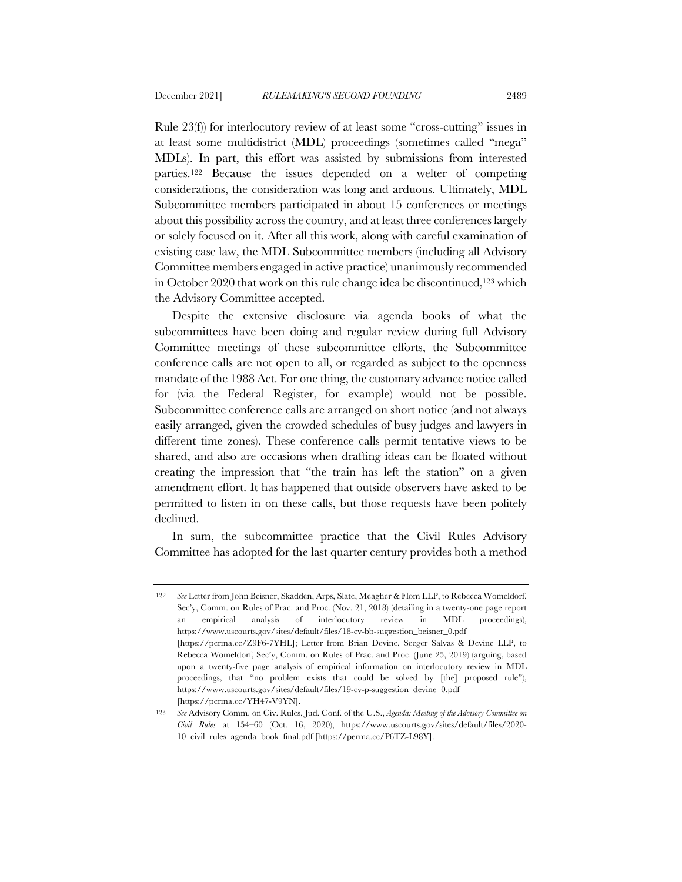Rule 23(f)) for interlocutory review of at least some "cross-cutting" issues in at least some multidistrict (MDL) proceedings (sometimes called "mega" MDLs). In part, this effort was assisted by submissions from interested parties.122 Because the issues depended on a welter of competing considerations, the consideration was long and arduous. Ultimately, MDL Subcommittee members participated in about 15 conferences or meetings about this possibility across the country, and at least three conferences largely or solely focused on it. After all this work, along with careful examination of existing case law, the MDL Subcommittee members (including all Advisory Committee members engaged in active practice) unanimously recommended in October 2020 that work on this rule change idea be discontinued,<sup>123</sup> which the Advisory Committee accepted.

Despite the extensive disclosure via agenda books of what the subcommittees have been doing and regular review during full Advisory Committee meetings of these subcommittee efforts, the Subcommittee conference calls are not open to all, or regarded as subject to the openness mandate of the 1988 Act. For one thing, the customary advance notice called for (via the Federal Register, for example) would not be possible. Subcommittee conference calls are arranged on short notice (and not always easily arranged, given the crowded schedules of busy judges and lawyers in different time zones). These conference calls permit tentative views to be shared, and also are occasions when drafting ideas can be floated without creating the impression that "the train has left the station" on a given amendment effort. It has happened that outside observers have asked to be permitted to listen in on these calls, but those requests have been politely declined.

In sum, the subcommittee practice that the Civil Rules Advisory Committee has adopted for the last quarter century provides both a method

<sup>122</sup> *See* Letter from John Beisner, Skadden, Arps, Slate, Meagher & Flom LLP, to Rebecca Womeldorf, Sec'y, Comm. on Rules of Prac. and Proc. (Nov. 21, 2018) (detailing in a twenty-one page report an empirical analysis of interlocutory review in MDL proceedings), https://www.uscourts.gov/sites/default/files/18-cv-bb-suggestion\_beisner\_0.pdf [https://perma.cc/Z9F6-7YHL]; Letter from Brian Devine, Seeger Salvas & Devine LLP, to Rebecca Womeldorf, Sec'y, Comm. on Rules of Prac. and Proc. (June 25, 2019) (arguing, based upon a twenty-five page analysis of empirical information on interlocutory review in MDL proceedings, that "no problem exists that could be solved by [the] proposed rule"), https://www.uscourts.gov/sites/default/files/19-cv-p-suggestion\_devine\_0.pdf [https://perma.cc/YH47-V9YN].

<sup>123</sup> *See* Advisory Comm. on Civ. Rules, Jud. Conf. of the U.S., *Agenda: Meeting of the Advisory Committee on Civil Rules* at 154–60 (Oct. 16, 2020), https://www.uscourts.gov/sites/default/files/2020- 10\_civil\_rules\_agenda\_book\_final.pdf [https://perma.cc/P6TZ-L98Y].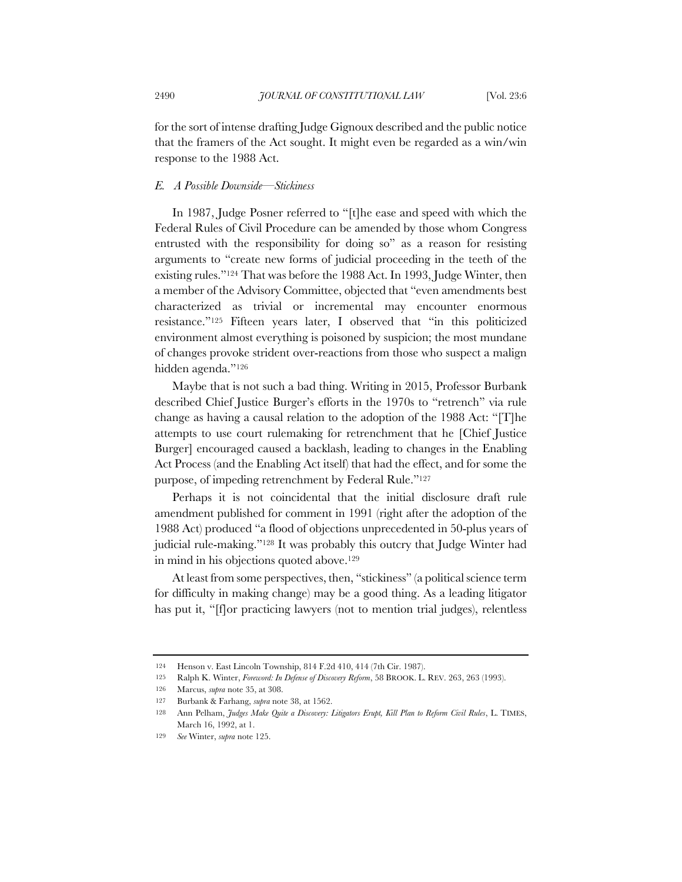for the sort of intense drafting Judge Gignoux described and the public notice that the framers of the Act sought. It might even be regarded as a win/win response to the 1988 Act.

## *E. A Possible Downside—Stickiness*

In 1987, Judge Posner referred to "[t]he ease and speed with which the Federal Rules of Civil Procedure can be amended by those whom Congress entrusted with the responsibility for doing so" as a reason for resisting arguments to "create new forms of judicial proceeding in the teeth of the existing rules."124 That was before the 1988 Act. In 1993, Judge Winter, then a member of the Advisory Committee, objected that "even amendments best characterized as trivial or incremental may encounter enormous resistance."125 Fifteen years later, I observed that "in this politicized environment almost everything is poisoned by suspicion; the most mundane of changes provoke strident over-reactions from those who suspect a malign hidden agenda."126

Maybe that is not such a bad thing. Writing in 2015, Professor Burbank described Chief Justice Burger's efforts in the 1970s to "retrench" via rule change as having a causal relation to the adoption of the 1988 Act: "[T]he attempts to use court rulemaking for retrenchment that he [Chief Justice Burger] encouraged caused a backlash, leading to changes in the Enabling Act Process (and the Enabling Act itself) that had the effect, and for some the purpose, of impeding retrenchment by Federal Rule."127

Perhaps it is not coincidental that the initial disclosure draft rule amendment published for comment in 1991 (right after the adoption of the 1988 Act) produced "a flood of objections unprecedented in 50-plus years of judicial rule-making."128 It was probably this outcry that Judge Winter had in mind in his objections quoted above.129

At least from some perspectives, then, "stickiness" (a political science term for difficulty in making change) may be a good thing. As a leading litigator has put it, "[f]or practicing lawyers (not to mention trial judges), relentless

<sup>124</sup> Henson v. East Lincoln Township, 814 F.2d 410, 414 (7th Cir. 1987).

<sup>125</sup> Ralph K. Winter, *Foreword: In Defense of Discovery Reform*, 58 BROOK. L. REV. 263, 263 (1993).

<sup>126</sup> Marcus, *supra* note 35, at 308.

<sup>127</sup> Burbank & Farhang, *supra* note 38, at 1562.

<sup>128</sup> Ann Pelham, *Judges Make Quite a Discovery: Litigators Erupt, Kill Plan to Reform Civil Rules*, L. TIMES, March 16, 1992, at 1.

<sup>129</sup> *See* Winter, *supra* note 125.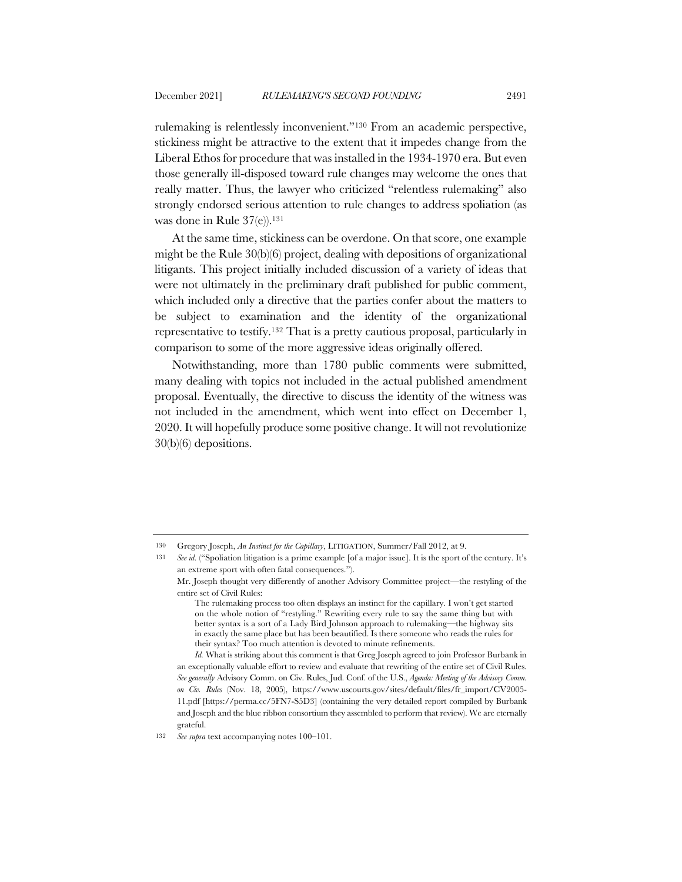rulemaking is relentlessly inconvenient."130 From an academic perspective, stickiness might be attractive to the extent that it impedes change from the Liberal Ethos for procedure that was installed in the 1934-1970 era. But even

those generally ill-disposed toward rule changes may welcome the ones that really matter. Thus, the lawyer who criticized "relentless rulemaking" also strongly endorsed serious attention to rule changes to address spoliation (as was done in Rule 37(e)).<sup>131</sup>

At the same time, stickiness can be overdone. On that score, one example might be the Rule 30(b)(6) project, dealing with depositions of organizational litigants. This project initially included discussion of a variety of ideas that were not ultimately in the preliminary draft published for public comment, which included only a directive that the parties confer about the matters to be subject to examination and the identity of the organizational representative to testify.132 That is a pretty cautious proposal, particularly in comparison to some of the more aggressive ideas originally offered.

Notwithstanding, more than 1780 public comments were submitted, many dealing with topics not included in the actual published amendment proposal. Eventually, the directive to discuss the identity of the witness was not included in the amendment, which went into effect on December 1, 2020. It will hopefully produce some positive change. It will not revolutionize 30(b)(6) depositions.

<sup>130</sup> Gregory Joseph, *An Instinct for the Capillary*, LITIGATION, Summer/Fall 2012, at 9.

<sup>131</sup> *See id.* ("Spoliation litigation is a prime example [of a major issue]. It is the sport of the century. It's an extreme sport with often fatal consequences.").

Mr. Joseph thought very differently of another Advisory Committee project—the restyling of the entire set of Civil Rules:

The rulemaking process too often displays an instinct for the capillary. I won't get started on the whole notion of "restyling." Rewriting every rule to say the same thing but with better syntax is a sort of a Lady Bird Johnson approach to rulemaking—the highway sits in exactly the same place but has been beautified. Is there someone who reads the rules for their syntax? Too much attention is devoted to minute refinements.

*Id.* What is striking about this comment is that Greg Joseph agreed to join Professor Burbank in an exceptionally valuable effort to review and evaluate that rewriting of the entire set of Civil Rules. *See generally* Advisory Comm. on Civ. Rules, Jud. Conf. of the U.S., *Agenda: Meeting of the Advisory Comm. on Civ. Rules* (Nov. 18, 2005), https://www.uscourts.gov/sites/default/files/fr\_import/CV2005- 11.pdf [https://perma.cc/5FN7-S5D3] (containing the very detailed report compiled by Burbank and Joseph and the blue ribbon consortium they assembled to perform that review). We are eternally grateful.

<sup>132</sup> *See supra* text accompanying notes 100–101.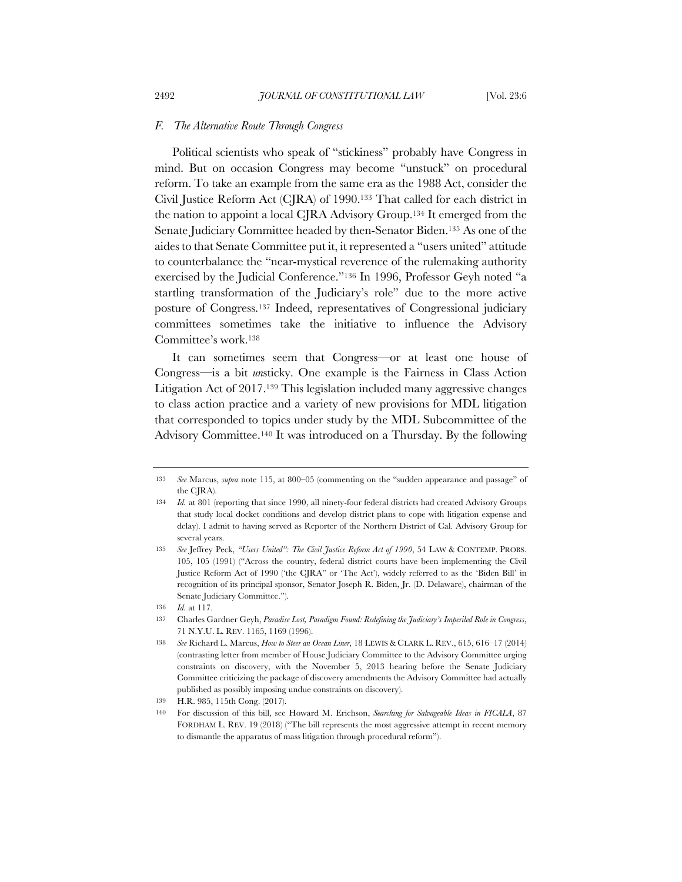#### *F. The Alternative Route Through Congress*

Political scientists who speak of "stickiness" probably have Congress in mind. But on occasion Congress may become "unstuck" on procedural reform. To take an example from the same era as the 1988 Act, consider the Civil Justice Reform Act (CJRA) of 1990.133 That called for each district in the nation to appoint a local CJRA Advisory Group.134 It emerged from the Senate Judiciary Committee headed by then-Senator Biden.135 As one of the aides to that Senate Committee put it, it represented a "users united" attitude to counterbalance the "near-mystical reverence of the rulemaking authority exercised by the Judicial Conference."136 In 1996, Professor Geyh noted "a startling transformation of the Judiciary's role" due to the more active posture of Congress.137 Indeed, representatives of Congressional judiciary committees sometimes take the initiative to influence the Advisory Committee's work.138

It can sometimes seem that Congress—or at least one house of Congress—is a bit *un*sticky. One example is the Fairness in Class Action Litigation Act of 2017.139 This legislation included many aggressive changes to class action practice and a variety of new provisions for MDL litigation that corresponded to topics under study by the MDL Subcommittee of the Advisory Committee.140 It was introduced on a Thursday. By the following

<sup>133</sup> *See* Marcus, *supra* note 115, at 800–05 (commenting on the "sudden appearance and passage" of the CJRA).

<sup>134</sup> *Id.* at 801 (reporting that since 1990, all ninety-four federal districts had created Advisory Groups that study local docket conditions and develop district plans to cope with litigation expense and delay). I admit to having served as Reporter of the Northern District of Cal. Advisory Group for several years.

<sup>135</sup> *See* Jeffrey Peck, *"Users United": The Civil Justice Reform Act of 1990*, 54 LAW & CONTEMP. PROBS. 105, 105 (1991) ("Across the country, federal district courts have been implementing the Civil Justice Reform Act of 1990 ('the CJRA" or 'The Act'), widely referred to as the 'Biden Bill' in recognition of its principal sponsor, Senator Joseph R. Biden, Jr. (D. Delaware), chairman of the Senate Judiciary Committee.").

<sup>136</sup> *Id.* at 117.

<sup>137</sup> Charles Gardner Geyh, *Paradise Lost, Paradigm Found: Redefining the Judiciary's Imperiled Role in Congress*, 71 N.Y.U. L. REV. 1165, 1169 (1996).

<sup>138</sup> *See* Richard L. Marcus, *How to Steer an Ocean Liner*, 18 LEWIS & CLARK L. REV., 615, 616–17 (2014) (contrasting letter from member of House Judiciary Committee to the Advisory Committee urging constraints on discovery, with the November 5, 2013 hearing before the Senate Judiciary Committee criticizing the package of discovery amendments the Advisory Committee had actually published as possibly imposing undue constraints on discovery).

<sup>139</sup> H.R. 985, 115th Cong. (2017).

<sup>140</sup> For discussion of this bill, see Howard M. Erichson, *Searching for Salvageable Ideas in FICALA*, 87 FORDHAM L. REV. 19 (2018) ("The bill represents the most aggressive attempt in recent memory to dismantle the apparatus of mass litigation through procedural reform").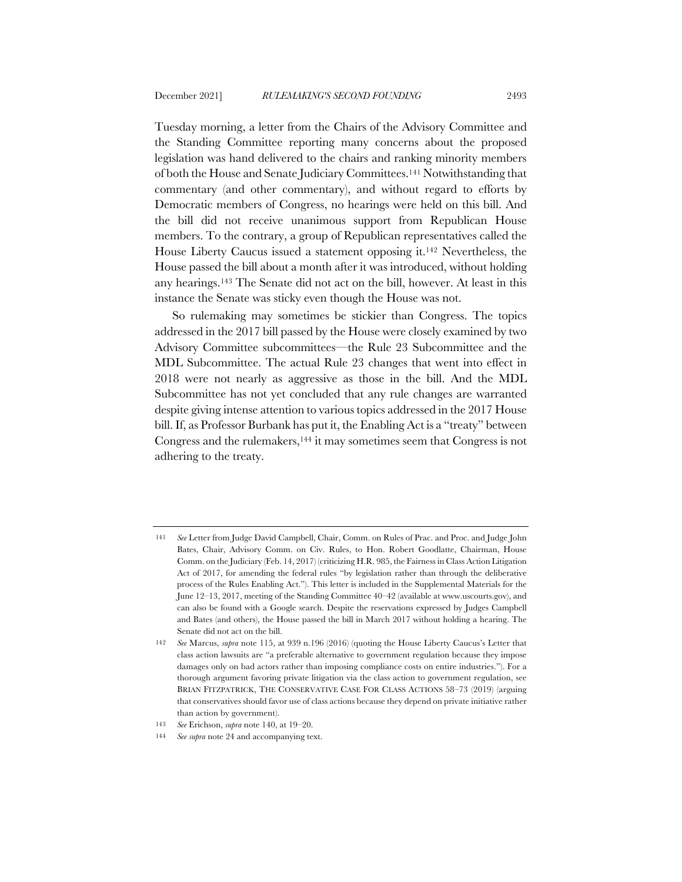Tuesday morning, a letter from the Chairs of the Advisory Committee and the Standing Committee reporting many concerns about the proposed legislation was hand delivered to the chairs and ranking minority members of both the House and Senate Judiciary Committees.141 Notwithstanding that commentary (and other commentary), and without regard to efforts by Democratic members of Congress, no hearings were held on this bill. And the bill did not receive unanimous support from Republican House members. To the contrary, a group of Republican representatives called the House Liberty Caucus issued a statement opposing it.142 Nevertheless, the House passed the bill about a month after it was introduced, without holding any hearings.143 The Senate did not act on the bill, however. At least in this instance the Senate was sticky even though the House was not.

So rulemaking may sometimes be stickier than Congress. The topics addressed in the 2017 bill passed by the House were closely examined by two Advisory Committee subcommittees—the Rule 23 Subcommittee and the MDL Subcommittee. The actual Rule 23 changes that went into effect in 2018 were not nearly as aggressive as those in the bill. And the MDL Subcommittee has not yet concluded that any rule changes are warranted despite giving intense attention to various topics addressed in the 2017 House bill. If, as Professor Burbank has put it, the Enabling Act is a "treaty" between Congress and the rulemakers,144 it may sometimes seem that Congress is not adhering to the treaty.

<sup>141</sup> *See* Letter from Judge David Campbell, Chair, Comm. on Rules of Prac. and Proc. and Judge John Bates, Chair, Advisory Comm. on Civ. Rules, to Hon. Robert Goodlatte, Chairman, House Comm. on the Judiciary (Feb. 14, 2017) (criticizing H.R. 985, the Fairness in Class Action Litigation Act of 2017, for amending the federal rules "by legislation rather than through the deliberative process of the Rules Enabling Act."). This letter is included in the Supplemental Materials for the June 12–13, 2017, meeting of the Standing Committee 40–42 (available at www.uscourts.gov), and can also be found with a Google search. Despite the reservations expressed by Judges Campbell and Bates (and others), the House passed the bill in March 2017 without holding a hearing. The Senate did not act on the bill.

<sup>142</sup> *See* Marcus, *supra* note 115, at 939 n.196 (2016) (quoting the House Liberty Caucus's Letter that class action lawsuits are "a preferable alternative to government regulation because they impose damages only on bad actors rather than imposing compliance costs on entire industries."). For a thorough argument favoring private litigation via the class action to government regulation, see BRIAN FITZPATRICK, THE CONSERVATIVE CASE FOR CLASS ACTIONS 58–73 (2019) (arguing that conservatives should favor use of class actions because they depend on private initiative rather than action by government).

<sup>143</sup> *See* Erichson, *supra* note 140, at 19–20.

<sup>144</sup> *See supra* note 24 and accompanying text.